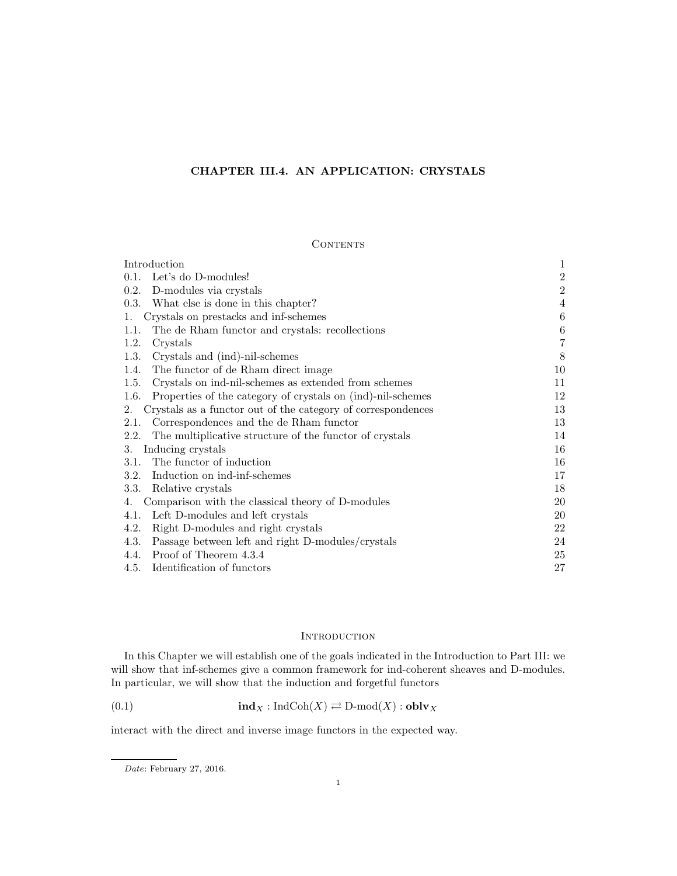# CHAPTER III.4. AN APPLICATION: CRYSTALS

# **CONTENTS**

| Introduction                                                        | 1       |
|---------------------------------------------------------------------|---------|
| Let's do D-modules!<br>0.1.                                         | $\,2$   |
| 0.2.<br>D-modules via crystals                                      | $\,2$   |
| What else is done in this chapter?<br>0.3.                          | 4       |
| Crystals on prestacks and inf-schemes<br>1.                         | 6       |
| The de Rham functor and crystals: recollections<br>1.1.             | $\,6\,$ |
| 1.2.<br>Crystals                                                    | $\,7$   |
| Crystals and (ind)-nil-schemes<br>1.3.                              | 8       |
| 1.4.<br>The functor of de Rham direct image                         | 10      |
| Crystals on ind-nil-schemes as extended from schemes<br>1.5.        | 11      |
| Properties of the category of crystals on (ind)-nil-schemes<br>1.6. | 12      |
| Crystals as a functor out of the category of correspondences<br>2.  | 13      |
| Correspondences and the de Rham functor<br>2.1.                     | 13      |
| The multiplicative structure of the functor of crystals<br>2.2.     | 14      |
| Inducing crystals<br>3.                                             | 16      |
| The functor of induction<br>3.1.                                    | 16      |
| Induction on ind-inf-schemes<br>3.2.                                | 17      |
| 3.3.<br>Relative crystals                                           | 18      |
| Comparison with the classical theory of D-modules<br>4.             | 20      |
| Left D-modules and left crystals<br>4.1.                            | 20      |
| 4.2.<br>Right D-modules and right crystals                          | 22      |
| 4.3.<br>Passage between left and right D-modules/crystals           | 24      |
| Proof of Theorem 4.3.4<br>4.4.                                      | 25      |
| Identification of functors<br>4.5.                                  | 27      |

## **INTRODUCTION**

In this Chapter we will establish one of the goals indicated in the Introduction to Part III: we will show that inf-schemes give a common framework for ind-coherent sheaves and D-modules. In particular, we will show that the induction and forgetful functors

(0.1) 
$$
\text{ind}_X : \text{IndCoh}(X) \rightleftarrows \text{D-mod}(X) : \text{oblv}_X
$$

interact with the direct and inverse image functors in the expected way.

Date: February 27, 2016.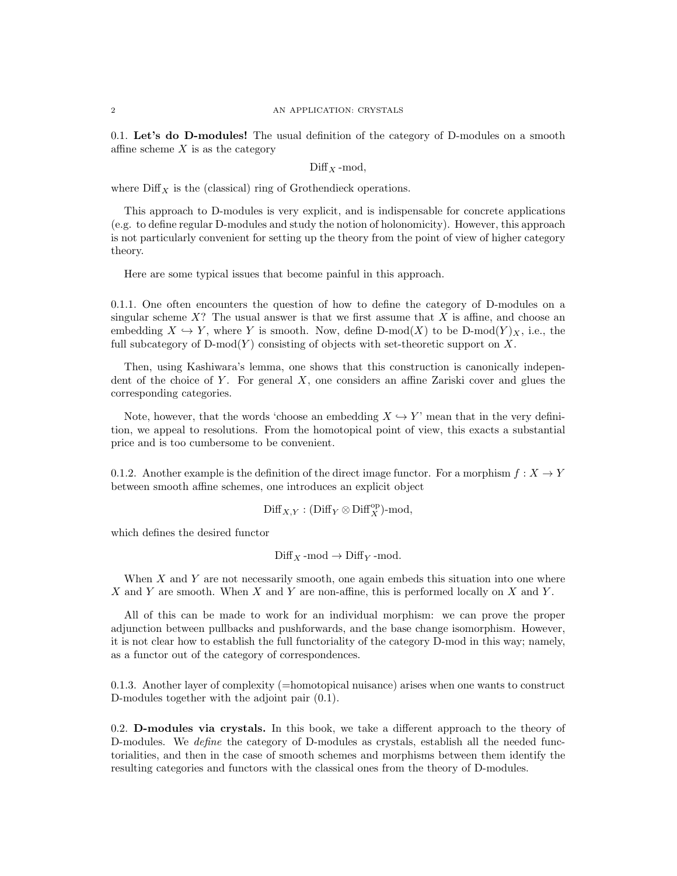0.1. Let's do D-modules! The usual definition of the category of D-modules on a smooth affine scheme  $X$  is as the category

 $Diff x$ -mod,

where  $\text{Diff}_X$  is the (classical) ring of Grothendieck operations.

This approach to D-modules is very explicit, and is indispensable for concrete applications (e.g. to define regular D-modules and study the notion of holonomicity). However, this approach is not particularly convenient for setting up the theory from the point of view of higher category theory.

Here are some typical issues that become painful in this approach.

0.1.1. One often encounters the question of how to define the category of D-modules on a singular scheme  $X$ ? The usual answer is that we first assume that X is affine, and choose an embedding  $X \hookrightarrow Y$ , where Y is smooth. Now, define D-mod $(X)$  to be D-mod $(Y)_X$ , i.e., the full subcategory of  $D\text{-mod}(Y)$  consisting of objects with set-theoretic support on X.

Then, using Kashiwara's lemma, one shows that this construction is canonically independent of the choice of Y. For general  $X$ , one considers an affine Zariski cover and glues the corresponding categories.

Note, however, that the words 'choose an embedding  $X \hookrightarrow Y'$ ' mean that in the very definition, we appeal to resolutions. From the homotopical point of view, this exacts a substantial price and is too cumbersome to be convenient.

0.1.2. Another example is the definition of the direct image functor. For a morphism  $f: X \to Y$ between smooth affine schemes, one introduces an explicit object

$$
\mathrm{Diff}_{X,Y} : (\mathrm{Diff}_Y \otimes \mathrm{Diff}_X^{\mathrm{op}}) \text{-}\mathrm{mod},
$$

which defines the desired functor

 $\text{Diff}_X$ -mod  $\rightarrow$   $\text{Diff}_Y$ -mod.

When  $X$  and  $Y$  are not necessarily smooth, one again embeds this situation into one where X and Y are smooth. When X and Y are non-affine, this is performed locally on X and Y.

All of this can be made to work for an individual morphism: we can prove the proper adjunction between pullbacks and pushforwards, and the base change isomorphism. However, it is not clear how to establish the full functoriality of the category D-mod in this way; namely, as a functor out of the category of correspondences.

0.1.3. Another layer of complexity (=homotopical nuisance) arises when one wants to construct D-modules together with the adjoint pair (0.1).

0.2. D-modules via crystals. In this book, we take a different approach to the theory of D-modules. We *define* the category of D-modules as crystals, establish all the needed functorialities, and then in the case of smooth schemes and morphisms between them identify the resulting categories and functors with the classical ones from the theory of D-modules.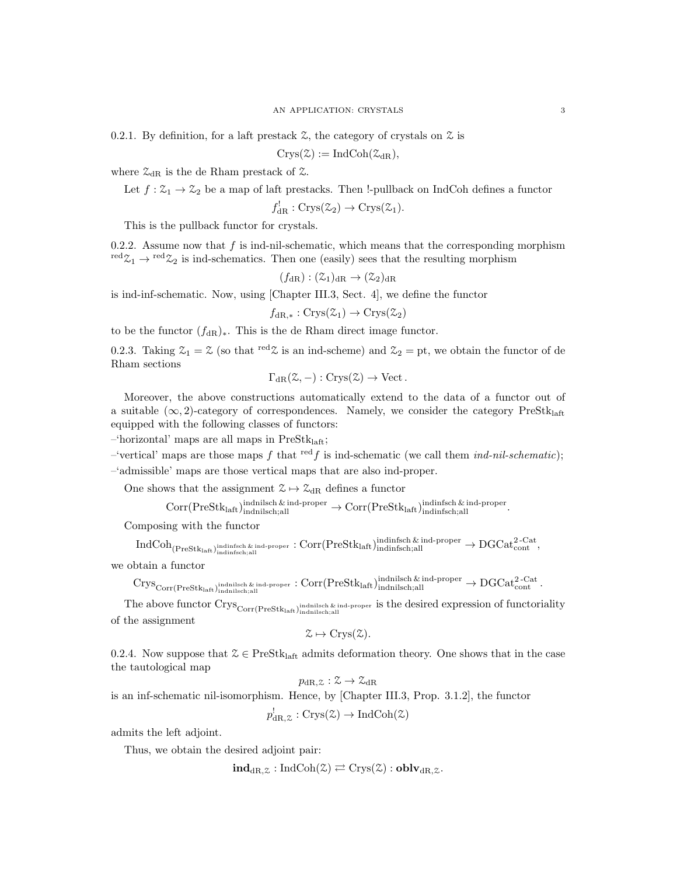0.2.1. By definition, for a laft prestack  $\mathcal Z$ , the category of crystals on  $\mathcal Z$  is

 $Crys(\mathcal{Z}) := \text{IndCoh}(\mathcal{Z}_{dR}),$ 

where  $\mathcal{Z}_{\text{dR}}$  is the de Rham prestack of  $\mathcal{Z}.$ 

Let  $f: \mathcal{Z}_1 \to \mathcal{Z}_2$  be a map of laft prestacks. Then !-pullback on IndCoh defines a functor

 $f_{\text{dR}}^!: \text{Crys}(\mathcal{Z}_2) \to \text{Crys}(\mathcal{Z}_1).$ 

This is the pullback functor for crystals.

0.2.2. Assume now that  $f$  is ind-nil-schematic, which means that the corresponding morphism red $\mathfrak{Z}_1 \to {}^{\text{red}} \mathfrak{Z}_2$  is ind-schematics. Then one (easily) sees that the resulting morphism

$$
(f_{\rm dR}): (\mathcal{Z}_1)_{\rm dR} \to (\mathcal{Z}_2)_{\rm dR}
$$

is ind-inf-schematic. Now, using [Chapter III.3, Sect. 4], we define the functor

 $f_{\text{dR}}$  ∗ :  $\text{Crys}(\mathcal{Z}_1) \to \text{Crys}(\mathcal{Z}_2)$ 

to be the functor  $(f_{\text{dR}})_*$ . This is the de Rham direct image functor.

0.2.3. Taking  $\mathcal{Z}_1 = \mathcal{Z}$  (so that <sup>red</sup> $\mathcal{Z}$  is an ind-scheme) and  $\mathcal{Z}_2 = pt$ , we obtain the functor of de Rham sections

$$
\Gamma_{\text{dR}}(\mathcal{Z}, -): \text{Crys}(\mathcal{Z}) \to \text{Vect}.
$$

Moreover, the above constructions automatically extend to the data of a functor out of a suitable  $(\infty, 2)$ -category of correspondences. Namely, we consider the category PreStklatt equipped with the following classes of functors:

 $-$ 'horizontal' maps are all maps in PreSt $k_{\text{laff}}$ ;

–'vertical' maps are those maps f that  $\text{red } f$  is ind-schematic (we call them *ind-nil-schematic*); –'admissible' maps are those vertical maps that are also ind-proper.

One shows that the assignment  $\mathcal{Z} \mapsto \mathcal{Z}_{dR}$  defines a functor

 $Corr(PreStk<sub>laff</sub>)<sub>indnilsch</sub>, all   
  $\rightarrow$  Corr(PreStk<sub>laff</sub>)<sub>indinfsch</sub>, all$ 

Composing with the functor

 $\mathrm{IndCoh}_{(\mathrm{PreStk}_{\mathrm{laft}})_{\mathrm{indinfsfoch};\mathrm{all}}}$  indinfsch;all  $\cdot$  corr $(\mathrm{PreStk}_{\mathrm{laft}})_{\mathrm{indinfsfich};\mathrm{all}}^{\mathrm{indinfsfich}}$   $\star$   $\rightarrow \mathrm{DGCat}_{\mathrm{cont}}^{\mathrm{2-Cat}},$ 

we obtain a functor

 $\mathrm{Crys}_{\mathrm{Corr}(\mathrm{PreStk}_{\mathrm{laff}},\mathrm{ind}_{\mathrm{nilsch},\mathrm{all}})}$ indnilsch & ind-proper  $\colon \mathrm{Corr}(\mathrm{PreStk}_{\mathrm{laff}},\mathrm{ind}_{\mathrm{nilsch},\mathrm{all}})$ indnilsch;all  $\to \mathrm{DGCat}_{\mathrm{cont}}^{\mathrm{2-Cat}}$  .

The above functor  $\text{Crys}_{\text{Corr}(\text{PreStk}_{\text{last}})^{\text{indnikch}_{\text{all}}}}$  is the desired expression of functoriality of the assignment

$$
\mathcal{Z} \mapsto \mathrm{Crys}(\mathcal{Z}).
$$

0.2.4. Now suppose that  $\mathcal{Z} \in \text{PreStk}_{\text{left}}$  admits deformation theory. One shows that in the case the tautological map

$$
p_{\mathrm{dR},\mathcal{Z}}:\mathcal{Z}\rightarrow\mathcal{Z}_{\mathrm{dR}}
$$

is an inf-schematic nil-isomorphism. Hence, by [Chapter III.3, Prop. 3.1.2], the functor

$$
p_{\text{dR},\mathcal{Z}}^!
$$
:  $\text{Crys}(\mathcal{Z}) \to \text{IndCoh}(\mathcal{Z})$ 

admits the left adjoint.

Thus, we obtain the desired adjoint pair:

 $\text{ind}_{\text{dR }Z} : \text{IndCoh}(\mathcal{Z}) \rightleftarrows \text{Crys}(\mathcal{Z}) : \text{oblv}_{\text{dR }Z}.$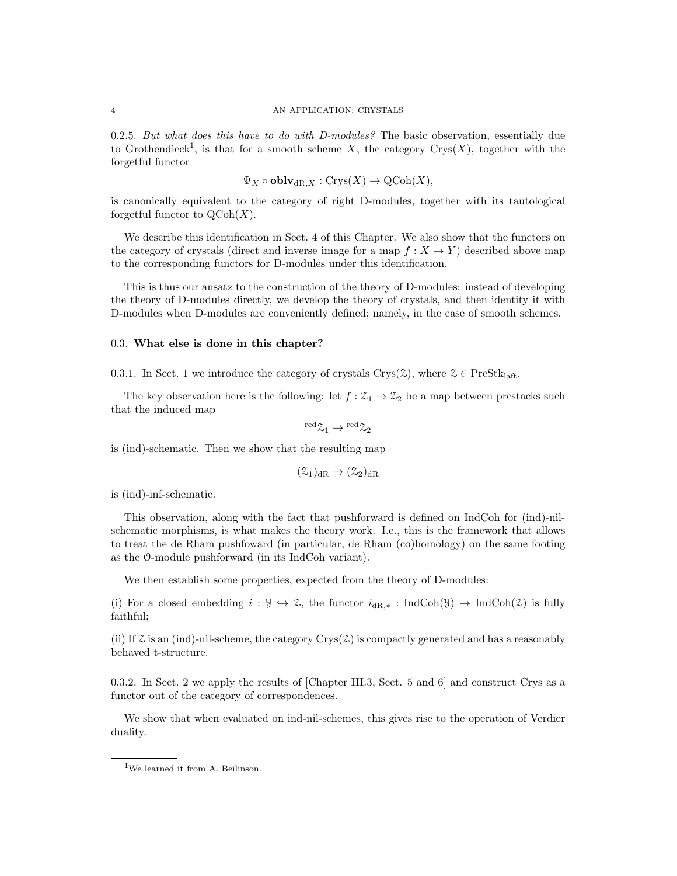### 4 AN APPLICATION: CRYSTALS

0.2.5. But what does this have to do with D-modules? The basic observation, essentially due to Grothendieck<sup>1</sup>, is that for a smooth scheme X, the category Crys $(X)$ , together with the forgetful functor

$$
\Psi_X \circ \mathbf{oblv}_{\mathrm{dR},X} : \mathrm{Crys}(X) \to \mathrm{QCoh}(X),
$$

is canonically equivalent to the category of right D-modules, together with its tautological forgetful functor to  $\mathrm{QCoh}(X)$ .

We describe this identification in Sect. 4 of this Chapter. We also show that the functors on the category of crystals (direct and inverse image for a map  $f: X \to Y$ ) described above map to the corresponding functors for D-modules under this identification.

This is thus our ansatz to the construction of the theory of D-modules: instead of developing the theory of D-modules directly, we develop the theory of crystals, and then identity it with D-modules when D-modules are conveniently defined; namely, in the case of smooth schemes.

#### 0.3. What else is done in this chapter?

0.3.1. In Sect. 1 we introduce the category of crystals Crys( $\mathcal{Z}$ ), where  $\mathcal{Z} \in \text{PreStk}_{\text{left}}$ .

The key observation here is the following: let  $f : \mathcal{Z}_1 \to \mathcal{Z}_2$  be a map between prestacks such that the induced map

$$
{}^{\rm red} \mathfrak{L}_1 \rightarrow {}^{\rm red} \mathfrak{L}_2
$$

is (ind)-schematic. Then we show that the resulting map

$$
(\mathcal{Z}_1)_{\mathrm{dR}} \to (\mathcal{Z}_2)_{\mathrm{dR}}
$$

is (ind)-inf-schematic.

This observation, along with the fact that pushforward is defined on IndCoh for (ind)-nilschematic morphisms, is what makes the theory work. I.e., this is the framework that allows to treat the de Rham pushfoward (in particular, de Rham (co)homology) on the same footing as the O-module pushforward (in its IndCoh variant).

We then establish some properties, expected from the theory of D-modules:

(i) For a closed embedding  $i : \mathcal{Y} \to \mathcal{Z}$ , the functor  $i_{dR,*} : IndCoh(\mathcal{Y}) \to IndCoh(\mathcal{Z})$  is fully faithful;

(ii) If  $\mathcal Z$  is an (ind)-nil-scheme, the category Crys( $\mathcal Z$ ) is compactly generated and has a reasonably behaved t-structure.

0.3.2. In Sect. 2 we apply the results of [Chapter III.3, Sect. 5 and 6] and construct Crys as a functor out of the category of correspondences.

We show that when evaluated on ind-nil-schemes, this gives rise to the operation of Verdier duality.

<sup>&</sup>lt;sup>1</sup>We learned it from A. Beilinson.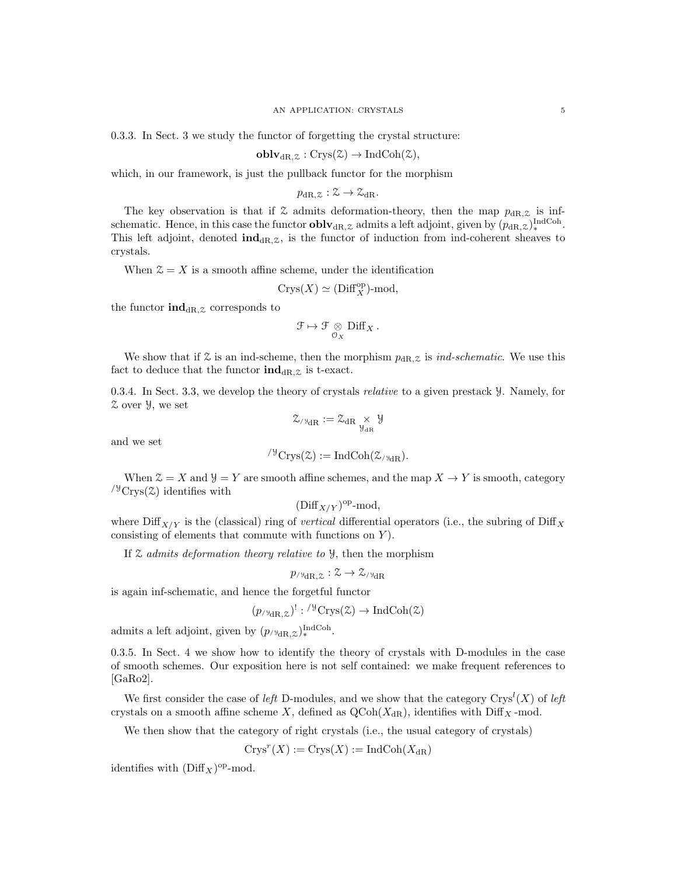0.3.3. In Sect. 3 we study the functor of forgetting the crystal structure:

$$
\mathbf{oblv}_{\mathrm{dR},\mathcal{Z}}:\mathrm{Crys}(\mathcal{Z})\to\mathrm{IndCoh}(\mathcal{Z}),
$$

which, in our framework, is just the pullback functor for the morphism

 $p_{\text{dR}} z : \mathcal{Z} \to \mathcal{Z}_{\text{dR}}.$ 

The key observation is that if  $\mathfrak X$  admits deformation-theory, then the map  $p_{dR,\mathfrak X}$  is infschematic. Hence, in this case the functor  $\textbf{oblv}_{\text{dR},z}$  admits a left adjoint, given by  $(p_{\text{dR},z})_{*}^{\text{IndCoh}}$ . This left adjoint, denoted  $\text{ind}_{\text{dR},z}$ , is the functor of induction from ind-coherent sheaves to crystals.

When  $\mathcal{Z} = X$  is a smooth affine scheme, under the identification

$$
\mathrm{Crys}(X)\simeq(\mathrm{Diff}_X^\mathrm{op})\text{-}\mathrm{mod},
$$

the functor  $\text{ind}_{\text{dR},z}$  corresponds to

$$
\mathcal{F} \mapsto \mathcal{F} \underset{\mathcal{O}_X}{\otimes} \mathrm{Diff}_X\,.
$$

We show that if  $\mathcal Z$  is an ind-scheme, then the morphism  $p_{\text{dR},\mathcal Z}$  is *ind-schematic*. We use this fact to deduce that the functor  $\text{ind}_{\text{dR},z}$  is t-exact.

0.3.4. In Sect. 3.3, we develop the theory of crystals relative to a given prestack Y. Namely, for Z over Y, we set

$$
\mathcal{Z}_{/\mathbb{Y}_{dR}}:=\mathcal{Z}_{dR}\underset{\mathcal{Y}_{dR}}{\times}\mathcal{Y}
$$

and we set

$$
{}^{\prime\mathcal{Y}}\mathrm{Crys}(\mathcal{Z}):=\mathrm{IndCoh}(\mathcal{Z}_{\mathcal{V}\text{-}\mathrm{dR}}).
$$

When  $\mathcal{Z} = X$  and  $\mathcal{Y} = Y$  are smooth affine schemes, and the map  $X \to Y$  is smooth, category  $\frac{y}{y}C$ rys $(z)$  identifies with

$$
(\text{Diff}_{X/Y})^{\text{op}}\text{-mod},
$$

where  $\text{Diff}_{X/Y}$  is the (classical) ring of vertical differential operators (i.e., the subring of Diff<sub>X</sub> consisting of elements that commute with functions on  $Y$ ).

If  $\mathfrak X$  admits deformation theory relative to  $\mathfrak Y$ , then the morphism

$$
p_{\text{valR},\mathcal{Z}}:\mathcal{Z}\rightarrow\mathcal{Z}_{\text{valR}}
$$

is again inf-schematic, and hence the forgetful functor

$$
(p_{/\mathcal{V}_{dR,\mathcal{Z}}})^! : {/\mathcal{V}_{Crys}(\mathcal{Z}) \to \mathrm{IndCoh}(\mathcal{Z})}
$$

admits a left adjoint, given by  $(p_{/\forall dR,\mathcal{Z}})_{*}^{\text{IndCoh}}$ .

0.3.5. In Sect. 4 we show how to identify the theory of crystals with D-modules in the case of smooth schemes. Our exposition here is not self contained: we make frequent references to [GaRo2].

We first consider the case of left D-modules, and we show that the category  $\text{Crys}^l(X)$  of left crystals on a smooth affine scheme X, defined as  $QCoh(X_{dR})$ , identifies with Diff<sub>X</sub> -mod.

We then show that the category of right crystals (i.e., the usual category of crystals)

 $Crys^r(X) := Crys(X) := \text{IndCoh}(X_{\text{dR}})$ 

identifies with  $(\text{Diff}_X)^{\text{op}}$ -mod.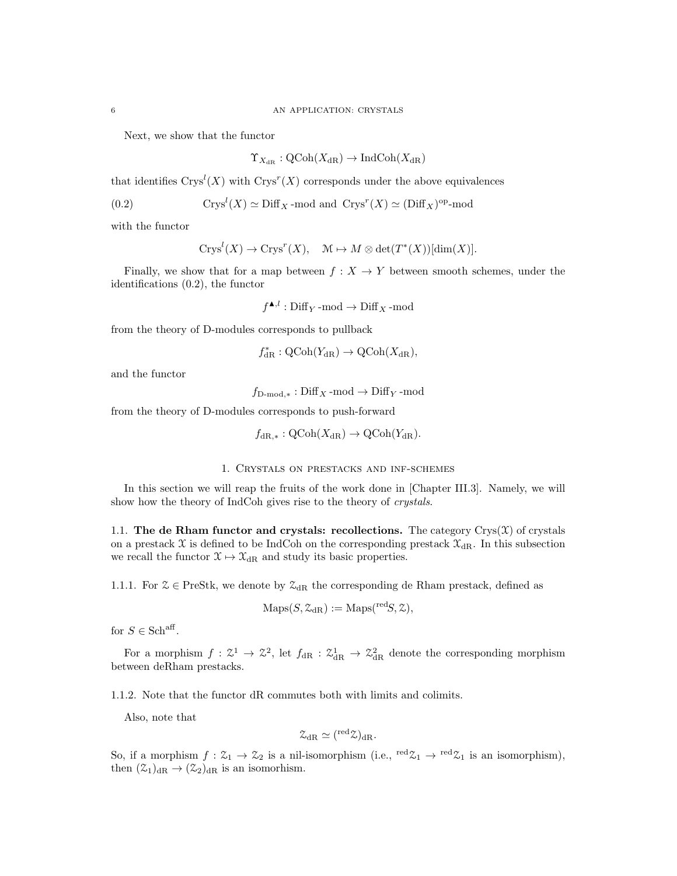Next, we show that the functor

$$
\Upsilon_{X_{\mathrm{dR}}}:\mathrm{QCoh}(X_{\mathrm{dR}})\to\mathrm{IndCoh}(X_{\mathrm{dR}})
$$

that identifies  $Crys<sup>l</sup>(X)$  with  $Crys<sup>r</sup>(X)$  corresponds under the above equivalences

(0.2) 
$$
Crysl(X) \simeq \text{Diff}_X \text{-mod and } Crysr(X) \simeq (\text{Diff}_X)^{\text{op}} \text{-mod}
$$

with the functor

$$
Crysl(X) \to Crysr(X), \quad M \mapsto M \otimes \det(T^*(X))[\dim(X)].
$$

Finally, we show that for a map between  $f : X \to Y$  between smooth schemes, under the identifications (0.2), the functor

 $f^{\blacktriangle,l}:\operatorname{Diff}_Y\operatorname{-mod}\to\operatorname{Diff}_X\operatorname{-mod}$ 

from the theory of D-modules corresponds to pullback

$$
f_{\rm dR}^*: {\rm QCoh}(Y_{\rm dR}) \rightarrow {\rm QCoh}(X_{\rm dR}),
$$

and the functor

 $f_{\text{D-mod.*}}: \text{Diff}_X \text{-mod} \to \text{Diff}_Y \text{-mod}$ 

from the theory of D-modules corresponds to push-forward

$$
f_{\text{dR},*}: \text{QCoh}(X_{\text{dR}}) \to \text{QCoh}(Y_{\text{dR}}).
$$

# 1. Crystals on prestacks and inf-schemes

In this section we will reap the fruits of the work done in [Chapter III.3]. Namely, we will show how the theory of IndCoh gives rise to the theory of *crystals*.

1.1. The de Rham functor and crystals: recollections. The category  $Crys(\mathfrak{X})$  of crystals on a prestack X is defined to be IndCoh on the corresponding prestack  $\mathfrak{X}_{\text{dR}}$ . In this subsection we recall the functor  $\mathfrak{X} \mapsto \mathfrak{X}_{dR}$  and study its basic properties.

1.1.1. For  $\mathcal{Z} \in \text{PreStk}$ , we denote by  $\mathcal{Z}_{\text{dR}}$  the corresponding de Rham prestack, defined as

$$
\mathrm{Maps}(S, \mathcal{Z}_{\mathrm{dR}}) := \mathrm{Maps}({}^{\mathrm{red}}S, \mathcal{Z}),
$$

for  $S \in \mathbf{Sch}^{\mathrm{aff}}$ .

For a morphism  $f: \mathcal{Z}^1 \to \mathcal{Z}^2$ , let  $f_{dR}: \mathcal{Z}_{dR}^1 \to \mathcal{Z}_{dR}^2$  denote the corresponding morphism between deRham prestacks.

1.1.2. Note that the functor dR commutes both with limits and colimits.

Also, note that

$$
\mathcal{Z}_{\mathrm{dR}}\simeq ({}^{\mathrm{red}}\mathcal{Z})_{\mathrm{dR}}.
$$

So, if a morphism  $f: \mathcal{Z}_1 \to \mathcal{Z}_2$  is a nil-isomorphism (i.e.,  $\text{red}\mathcal{Z}_1 \to \text{red}\mathcal{Z}_1$  is an isomorphism), then  $(\mathcal{Z}_1)_{\text{dR}} \to (\mathcal{Z}_2)_{\text{dR}}$  is an isomorhism.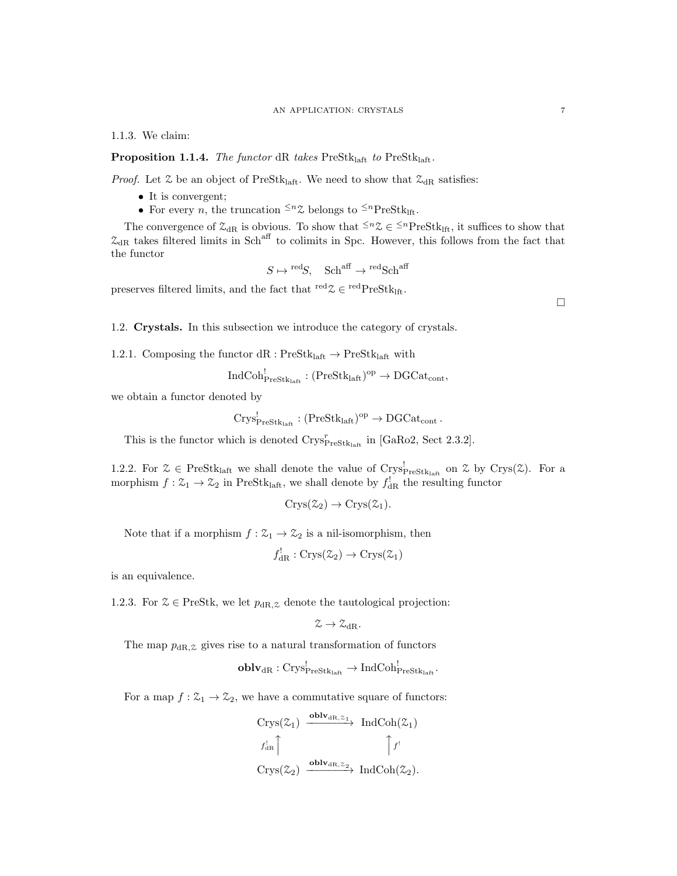#### AN APPLICATION: CRYSTALS 7

1.1.3. We claim:

**Proposition 1.1.4.** The functor dR takes PreStklaft to PreStklaft.

*Proof.* Let  $\mathcal{Z}$  be an object of PreStk<sub>laft</sub>. We need to show that  $\mathcal{Z}_{dR}$  satisfies:

- It is convergent;
- For every *n*, the truncation  $\leq n \chi$  belongs to  $\leq n$  PreStk<sub>1ft</sub>.

The convergence of  $\mathcal{Z}_{dR}$  is obvious. To show that  $\leq n\mathcal{Z} \in \leq^{n}$ PreStk<sub>lft</sub>, it suffices to show that  $\mathcal{Z}_{dR}$  takes filtered limits in Sch<sup>aff</sup> to colimits in Spc. However, this follows from the fact that the functor

 $S \mapsto {}^{\text{red}}S$ ,  $\text{Sch}^{\text{aff}} \to {}^{\text{red}}\text{Sch}^{\text{aff}}$ 

preserves filtered limits, and the fact that  $\mathrm{^{red}Z} \in \mathrm{^{red}PreStk}_{\mathrm{lft}}$ .

1.2. Crystals. In this subsection we introduce the category of crystals.

1.2.1. Composing the functor  $dR : PreStk<sub>laff</sub> \rightarrow PreStk<sub>laff</sub> with$ 

 $\mathrm{IndCoh}^!_{\mathrm{PreStk}_\mathrm{laff}} : (\mathrm{PreStk}_\mathrm{laff})^\mathrm{op} \to \mathrm{DGCat}_\mathrm{cont},$ 

we obtain a functor denoted by

$$
Crys^!_{\mathrm{PreStk}_{\mathrm{laft}}} : (\mathrm{PreStk}_{\mathrm{laft}})^{\mathrm{op}} \to \mathrm{DGCat}_{\mathrm{cont}}.
$$

This is the functor which is denoted  $\text{Crys}_{\text{PreStk}_\text{left}}^r$  in [GaRo2, Sect 2.3.2].

1.2.2. For  $\mathcal{Z} \in \text{PreStk}_{\text{laff}}$  we shall denote the value of  $\text{Crys}_{\text{PreStk}_{\text{laff}}}$  on  $\mathcal{Z}$  by  $\text{Crys}(\mathcal{Z})$ . For a morphism  $f: \mathcal{Z}_1 \to \mathcal{Z}_2$  in PreStk<sub>laft</sub>, we shall denote by  $f_{\text{dR}}^!$  the resulting functor

$$
Crys(\mathcal{Z}_2)\to Crys(\mathcal{Z}_1).
$$

Note that if a morphism  $f : \mathcal{Z}_1 \to \mathcal{Z}_2$  is a nil-isomorphism, then

 $f_{\text{dR}}^! : \text{Crys}(\mathcal{Z}_2) \to \text{Crys}(\mathcal{Z}_1)$ 

is an equivalence.

1.2.3. For  $\mathcal{Z} \in \text{PreStk}$ , we let  $p_{\text{dR},\mathcal{Z}}$  denote the tautological projection:

$$
\mathcal{Z}\rightarrow \mathcal{Z}_{\mathrm{dR}}.
$$

The map  $p_{\text{dR},z}$  gives rise to a natural transformation of functors

$$
\mathbf{oblv}_{\mathrm{dR}}:\mathrm{Crys}^!_{\mathrm{PreStk}_{\mathrm{laff}}}\rightarrow \mathrm{IndCoh}^!_{\mathrm{PreStk}_{\mathrm{laff}}}.
$$

For a map  $f: \mathcal{Z}_1 \to \mathcal{Z}_2$ , we have a commutative square of functors:

$$
\begin{array}{ccc}\n\operatorname{Crys}(\mathcal{Z}_1) & \xrightarrow{\operatorname{\textbf{oblv}}_{\operatorname{dR},\mathcal{Z}_1}} & \operatorname{IndCoh}(\mathcal{Z}_1) \\
\downarrow f_{\operatorname{dR}}^! \uparrow & \uparrow f' \\
\operatorname{Crys}(\mathcal{Z}_2) & \xrightarrow{\operatorname{\textbf{oblv}}_{\operatorname{dR},\mathcal{Z}_2}} & \operatorname{IndCoh}(\mathcal{Z}_2).\n\end{array}
$$

 $\Box$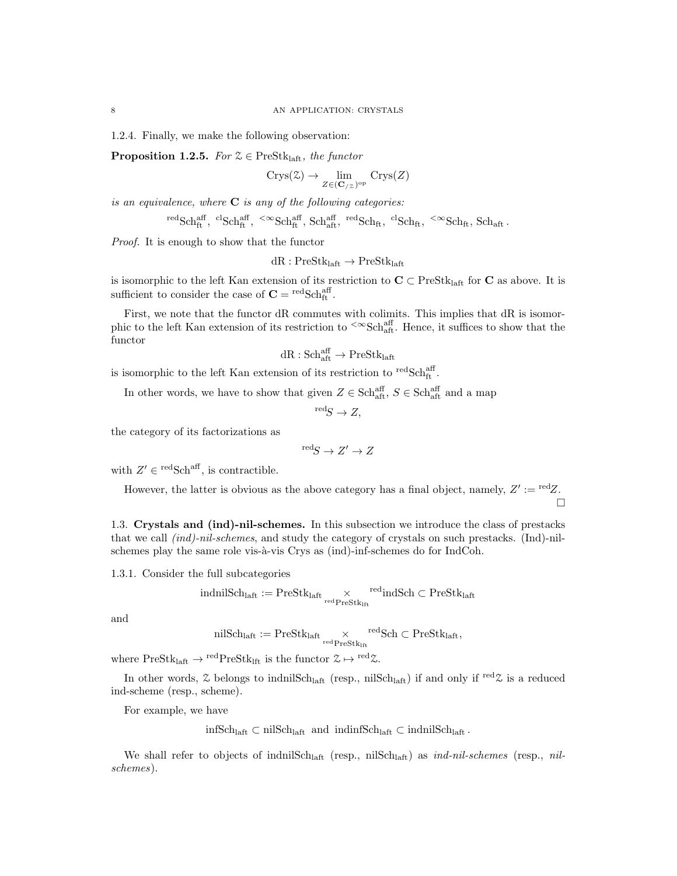1.2.4. Finally, we make the following observation:

**Proposition 1.2.5.** For  $\mathcal{Z} \in \text{PreStk}_{\text{left}}$ , the functor

$$
Crys(\mathbb{Z}) \to \lim_{Z \in (\mathbf{C}_{/\mathbb{Z}})^{\rm op}} \operatorname{Crys}(Z)
$$

is an equivalence, where  $C$  is any of the following categories:

$$
{}^{\rm red}\mathrm{Sch}^{\rm aff}_{\rm ft},\ {}^{\rm cl}\mathrm{Sch}^{\rm aff}_{\rm ft},\ {}^{{<}\infty}\mathrm{Sch}^{\rm aff}_{\rm ft},\ \mathrm{Sch}^{\rm aff}_{\rm aft},\ {}^{\rm red}\mathrm{Sch}_{\rm ft},\ {}^{\rm cl}\mathrm{Sch}_{\rm ft},\ {}^{{<}\infty}\mathrm{Sch}_{\rm ft},\ \mathrm{Sch}_{\rm aft}\,.
$$

Proof. It is enough to show that the functor

$$
dR: PreStk_{laff} \rightarrow PreStk_{laff}
$$

is isomorphic to the left Kan extension of its restriction to  $C \subset PreStk<sub>laff</sub>$  for C as above. It is sufficient to consider the case of  $\mathbf{C} = \text{redSch}^{\text{aff}}_{\text{ft}}$ .

First, we note that the functor dR commutes with colimits. This implies that dR is isomorphic to the left Kan extension of its restriction to  $\rm{<} \infty Sch_{\rm aft}^{\rm aff}$ . Hence, it suffices to show that the functor

$$
\mathrm{dR}:\mathrm{Sch}^{\mathrm{aff}}_{\mathrm{aft}}\to\mathrm{PreStk}_{\mathrm{laft}}
$$

is isomorphic to the left Kan extension of its restriction to  ${}^{\rm red}\text{Sch}^{\rm aff}_{\rm ft}$ .

In other words, we have to show that given  $Z \in \text{Sch}^{\text{aff}}_{\text{aff}}, S \in \text{Sch}^{\text{aff}}_{\text{aff}}$  and a map

$$
{}^{\text{red}}S \to Z,
$$

the category of its factorizations as

$$
{}^{\rm red}S \to Z' \to Z
$$

with  $Z' \in {}^{\text{red}}S\text{ch}^{\text{aff}}$ , is contractible.

However, the latter is obvious as the above category has a final object, namely,  $Z' := \text{red}Z$ .  $\Box$ 

1.3. Crystals and (ind)-nil-schemes. In this subsection we introduce the class of prestacks that we call (ind)-nil-schemes, and study the category of crystals on such prestacks. (Ind)-nilschemes play the same role vis-à-vis Crys as (ind)-inf-schemes do for IndCoh.

1.3.1. Consider the full subcategories

$$
indnilSch_{laff:} := \mathrm{PreStk}_{laff} \underset{\mathrm{red\,PreStk}_{lft}}{\times} \mathrm{^{red}indSch} \subset \mathrm{PreStk}_{laff}
$$

and

$$
\mathrm{nilSch}_{\mathrm{laff}} := \mathrm{PreStk}_{\mathrm{laff}} \underset{\mathrm{red} \, \mathrm{PreStk}_{\mathrm{lft}}} \times \mathrm{relSch} \subset \mathrm{PreStk}_{\mathrm{laff}},
$$

where  $PreStk<sub>left</sub> \rightarrow <sup>red</sup>PreStk<sub>left</sub>$  is the functor  $\mathcal{Z} \mapsto <sup>red</sup> \mathcal{Z}$ .

In other words,  $\&$  belongs to indnilSch<sub>laft</sub> (resp., nilSch<sub>laft</sub>) if and only if <sup>red</sup> $\&$  is a reduced ind-scheme (resp., scheme).

For example, we have

 $infSch<sub>laff</sub> ⊂ nilSch<sub>laff</sub>$  and  $indinfSch<sub>laff</sub> ⊂ indnilSch<sub>laff</sub>$ .

We shall refer to objects of indnilSch<sub>laft</sub> (resp., nilSch<sub>laft</sub>) as  $ind$ -nil-schemes (resp., nilschemes).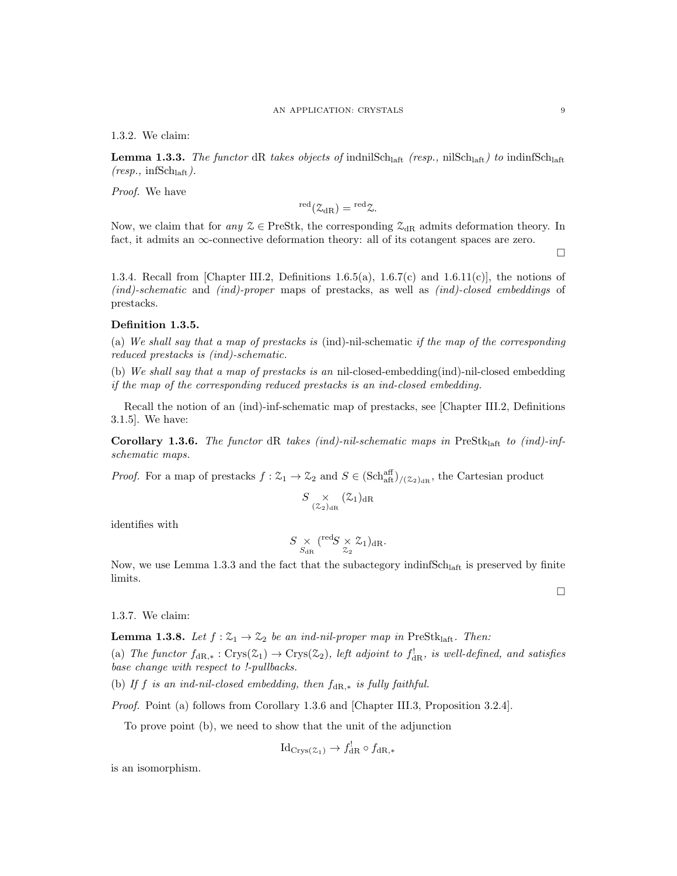1.3.2. We claim:

**Lemma 1.3.3.** The functor dR takes objects of indnilSch<sub>laft</sub> (resp., nilSch<sub>laft</sub>) to indinfSch<sub>laft</sub>  $(resp., infSch<sub>laff</sub>).$ 

Proof. We have

$$
{}^{\rm red}({\mathcal Z}_{\rm dR})={}^{\rm red}{\mathcal Z}.
$$

Now, we claim that for any  $\mathcal{Z} \in \text{PreStk}$ , the corresponding  $\mathcal{Z}_{\text{dR}}$  admits deformation theory. In fact, it admits an  $\infty$ -connective deformation theory: all of its cotangent spaces are zero.

 $\Box$ 

 $\Box$ 

1.3.4. Recall from [Chapter III.2, Definitions 1.6.5(a), 1.6.7(c) and 1.6.11(c)], the notions of (ind)-schematic and (ind)-proper maps of prestacks, as well as (ind)-closed embeddings of prestacks.

## Definition 1.3.5.

(a) We shall say that a map of prestacks is (ind)-nil-schematic if the map of the corresponding reduced prestacks is (ind)-schematic.

(b) We shall say that a map of prestacks is an nil-closed-embedding(ind)-nil-closed embedding if the map of the corresponding reduced prestacks is an ind-closed embedding.

Recall the notion of an (ind)-inf-schematic map of prestacks, see [Chapter III.2, Definitions 3.1.5]. We have:

Corollary 1.3.6. The functor dR takes (ind)-nil-schematic maps in PreStk<sub>laft</sub> to (ind)-infschematic maps.

*Proof.* For a map of prestacks  $f: \mathcal{Z}_1 \to \mathcal{Z}_2$  and  $S \in (\text{Sch}_{\text{aff}}^{\text{aff}})_{/(\mathcal{Z}_2)_{\text{dR}}}$ , the Cartesian product

$$
S \underset{(\mathcal{Z}_2)_{\text{dR}}}{\times} (\mathcal{Z}_1)_{\text{dR}}
$$

identifies with

$$
S \underset{S_{\mathrm{dR}}}{\times} \left( \begin{matrix} \mathrm{red} S \\ 2 \end{matrix} \times \mathcal{Z}_1 \right)_{\mathrm{dR}}.
$$

Now, we use Lemma 1.3.3 and the fact that the subactegory indinf $Sch<sub>laf</sub>$  is preserved by finite limits.

1.3.7. We claim:

**Lemma 1.3.8.** Let  $f : \mathcal{Z}_1 \to \mathcal{Z}_2$  be an ind-nil-proper map in PreStk<sub>laft</sub>. Then:

(a) The functor  $f_{\text{dR},*}: \text{Crys}(\mathcal{Z}_1) \to \text{Crys}(\mathcal{Z}_2)$ , left adjoint to  $f_{\text{dR}}^!$ , is well-defined, and satisfies base change with respect to !-pullbacks.

(b) If f is an ind-nil-closed embedding, then  $f_{\text{dR},*}$  is fully faithful.

Proof. Point (a) follows from Corollary 1.3.6 and [Chapter III.3, Proposition 3.2.4].

To prove point (b), we need to show that the unit of the adjunction

$$
Id_{\mathrm{Crys}(\mathcal{Z}_1)} \to f_{\mathrm{dR}}^! \circ f_{\mathrm{dR},*}
$$

is an isomorphism.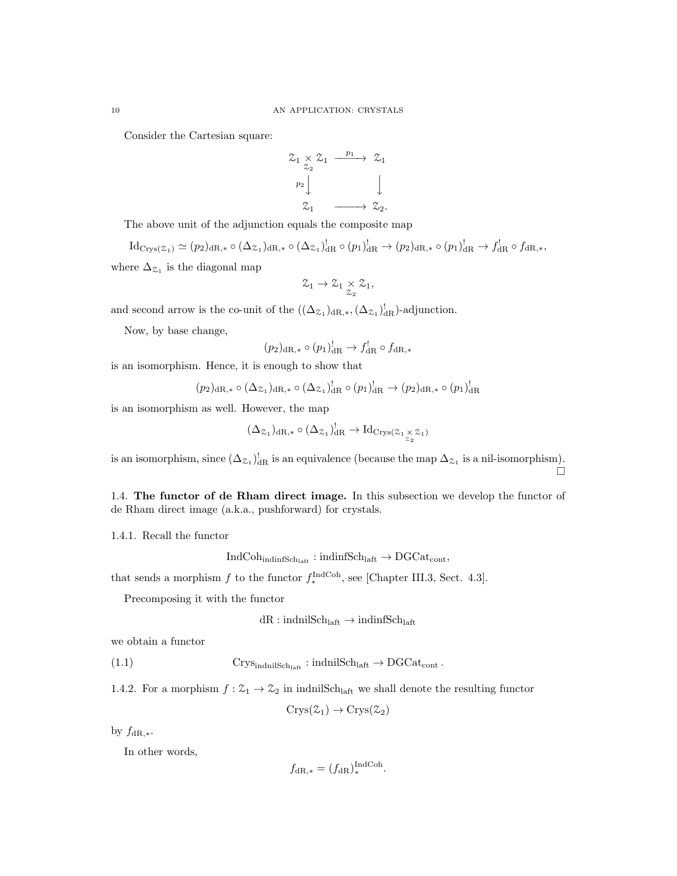Consider the Cartesian square:

$$
\begin{array}{ccc}\n\mathfrak{Z}_1 \times \mathfrak{Z}_1 & \xrightarrow{p_1} & \mathfrak{Z}_1 \\
\downarrow^{p_2} & & \downarrow \\
\mathfrak{Z}_1 & \xrightarrow{\qquad} & \mathfrak{Z}_2.\n\end{array}
$$

The above unit of the adjunction equals the composite map

 $\mathrm{Id}_{\mathrm{Crys}(\mathbb{Z}_1)} \simeq (p_2)_{{\mathrm{dR}},*} \circ (\Delta_{\mathbb{Z}_1})_{{\mathrm{dR}},*}^! \circ (\Delta_{\mathbb{Z}_1})_{{\mathrm{dR}}}^! \circ (p_1)_{{\mathrm{dR}}}^! \to (p_2)_{{\mathrm{dR}},*} \circ (p_1)_{{\mathrm{dR}}}^! \to f_{{\mathrm{dR}}}^! \circ f_{{\mathrm{dR}},*},$ where  $\Delta_{\mathcal{Z}_1}$  is the diagonal map

$$
\mathcal{Z}_1 \rightarrow \mathcal{Z}_1 \underset{\mathcal{Z}_2}{\times} \mathcal{Z}_1,
$$

and second arrow is the co-unit of the  $((\Delta_{\mathcal{Z}_1})_{dR,*}^1, (\Delta_{\mathcal{Z}_1})_{dR}^1)$ -adjunction.

Now, by base change,

$$
(p_2)_{\mathrm{dR},*} \circ (p_1)^!_{\mathrm{dR}} \to f^!_{\mathrm{dR}} \circ f^{}_{\mathrm{dR},*}
$$

is an isomorphism. Hence, it is enough to show that

$$
(p_2)_{\mathrm{dR},*} \circ (\Delta_{\mathcal{Z}_1})_{\mathrm{dR},*} \circ (\Delta_{\mathcal{Z}_1})_{\mathrm{dR}}^! \circ (p_1)_{\mathrm{dR}}^! \to (p_2)_{\mathrm{dR},*} \circ (p_1)_{\mathrm{dR}}^!
$$

is an isomorphism as well. However, the map

$$
(\Delta_{\mathcal{Z}_1})_{\mathrm{dR},*} \circ (\Delta_{\mathcal{Z}_1})_{\mathrm{dR}}^! \to \mathrm{Id}_{\mathrm{Crys}(\mathcal{Z}_1 \underset{\mathcal{Z}_2}{\times} \mathcal{Z}_1)}
$$

is an isomorphism, since  $(\Delta_{\mathcal{Z}_1})_{dR}^!$  is an equivalence (because the map  $\Delta_{\mathcal{Z}_1}$  is a nil-isomorphism).  $\Box$ 

1.4. The functor of de Rham direct image. In this subsection we develop the functor of de Rham direct image (a.k.a., pushforward) for crystals.

1.4.1. Recall the functor

$$
IndCoh_{indinfSch_{laff}}: indinfSch_{laff} \to DGCat_{cont},
$$

that sends a morphism  $f$  to the functor  $f_*^{\text{IndCoh}}$ , see [Chapter III.3, Sect. 4.3].

Precomposing it with the functor

$$
dR:indnilSchlaff \to indinfSchlaff
$$

we obtain a functor

(1.1) 
$$
Crys_{indnilSch_{laff}}: indnilSch_{laff} \to DGCat_{cont}.
$$

1.4.2. For a morphism  $f: \mathcal{Z}_1 \to \mathcal{Z}_2$  in indnilSch<sub>laft</sub> we shall denote the resulting functor

$$
Crys(\mathcal{Z}_1)\to Crys(\mathcal{Z}_2)
$$

by  $f_{\text{dR},*}$ .

In other words,

$$
f_{\mathrm{dR},*} = (f_{\mathrm{dR}})_{*}^{\mathrm{IndCoh}}.
$$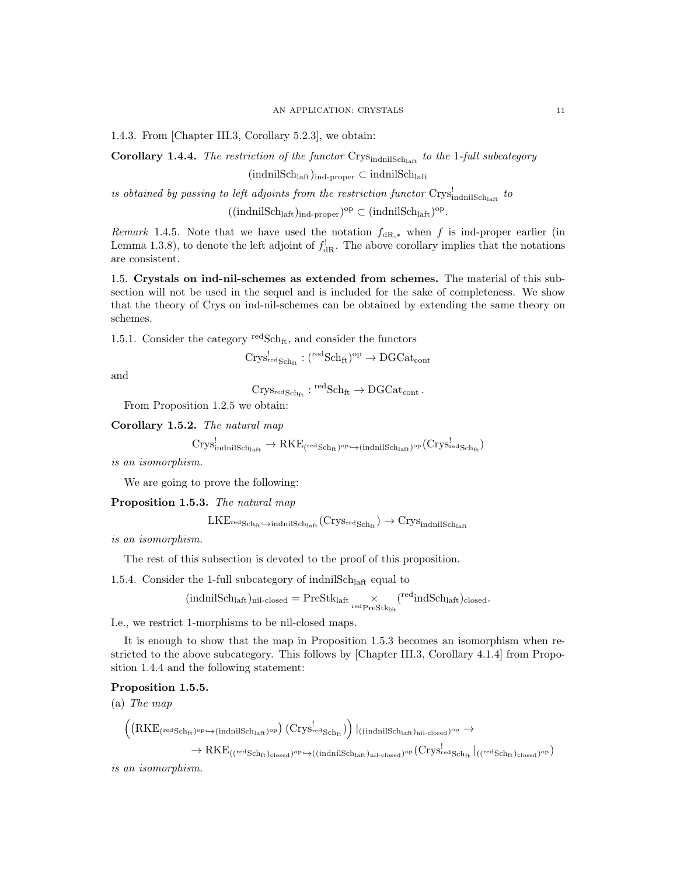1.4.3. From [Chapter III.3, Corollary 5.2.3], we obtain:

Corollary 1.4.4. The restriction of the functor  $Crys_{\text{indnilSch}_\text{left}}$  to the 1-full subcategory

 $(indnilSch<sub>laff</sub>)<sub>ind-proper</sub> \subset indnilSch<sub>laff</sub>$ 

is obtained by passing to left adjoints from the restriction functor  $\text{Crys}_{\text{indnilSch}_\text{laff}}^!$  to

 $((indnikch<sub>laff</sub>)<sub>ind-proper</sub>)<sup>op</sup> \subset (indnilSch<sub>laff</sub>)<sup>op</sup>.$ 

Remark 1.4.5. Note that we have used the notation  $f_{\text{dR},*}$  when f is ind-proper earlier (in Lemma 1.3.8), to denote the left adjoint of  $f_{\rm dR}^!$ . The above corollary implies that the notations are consistent.

1.5. Crystals on ind-nil-schemes as extended from schemes. The material of this subsection will not be used in the sequel and is included for the sake of completeness. We show that the theory of Crys on ind-nil-schemes can be obtained by extending the same theory on schemes.

1.5.1. Consider the category  $\mathrm{redSch}_{\mathrm{ft}}$ , and consider the functors

$$
\mathrm{Crys}^!_{\mathrm{redSch}_\mathrm{ft}}:(\mathrm{^{red}Sch}_\mathrm{ft})^\mathrm{op}\to \mathrm{DGCat}_\mathrm{cont}
$$

and

 $\mathrm{Crys}_{\mathrm{redSch}_\mathrm{ft}}: {}^{\mathrm{red}}\mathrm{Sch}_\mathrm{ft} \to \mathrm{DGCat}_\mathrm{cont}$ .

From Proposition 1.2.5 we obtain:

Corollary 1.5.2. The natural map

$$
\mathrm{Crys}_{\mathrm{indnilSch}_{\mathrm{laft}}}\^!\to \mathrm{RKE}_{(\mathrm{redSch}_{\mathrm{ft}})^{\mathrm{op}}\hookrightarrow(\mathrm{indnilSch}_{\mathrm{laft}})^{\mathrm{op}}}( \mathrm{Crys}_{\mathrm{redSch}_{\mathrm{ft}} }^!)
$$

is an isomorphism.

We are going to prove the following:

Proposition 1.5.3. The natural map

 $LKE_{\text{redSch}_{\text{ft}}}\hookrightarrow$ indnil $\text{Sch}_{\text{latf}}(\text{Crys}_{\text{redSch}_{\text{ft}}})\to \text{Crys}_{\text{indnilSch}_{\text{latf}}}\$ 

is an isomorphism.

The rest of this subsection is devoted to the proof of this proposition.

1.5.4. Consider the 1-full subcategory of indnil $\text{Sch}_{\text{laff}}$  equal to

$$
(\text{indnilSch}_{\text{laff}})_{\text{nil-closed}} = \text{PreStk}_{\text{laff}} \underset{\text{red PreStk}_{\text{lf}}}{\times} (^{\text{red}}\text{indSch}_{\text{laff}})_{\text{closed}}.
$$

I.e., we restrict 1-morphisms to be nil-closed maps.

It is enough to show that the map in Proposition 1.5.3 becomes an isomorphism when restricted to the above subcategory. This follows by [Chapter III.3, Corollary 4.1.4] from Proposition 1.4.4 and the following statement:

# Proposition 1.5.5.

(a) The map

$$
\begin{array}{lcl} \left((\mathrm{RKE}_{(\mathrm{redSch}_{\mathrm{ft}})^{\mathrm{op}} \hookrightarrow (\mathrm{indnilSch}_{\mathrm{laff}})^{\mathrm{op}}}) \, (\mathrm{Crys}^\mathrm{l}_{\mathrm{redSch}_{\mathrm{ft}}})\right) \vert_{((\mathrm{indnilSch}_{\mathrm{laff}})_{\mathrm{nil}\text{-closed}})^{\mathrm{op}}} \to \\ & \to \mathrm{RKE}_{((\mathrm{redSch}_{\mathrm{ft}})_{\mathrm{closed}})^{\mathrm{op}} \hookrightarrow ((\mathrm{indnilSch}_{\mathrm{laff}})_{\mathrm{nil}\text{-closed}})^{\mathrm{op}}} (\mathrm{Crys}^\mathrm{l}_{\mathrm{redSch}_{\mathrm{ft}}} \vert_{((\mathrm{redSch}_{\mathrm{ft}})_{\mathrm{closed}})^{\mathrm{op}}}) \end{array}
$$

is an isomorphism.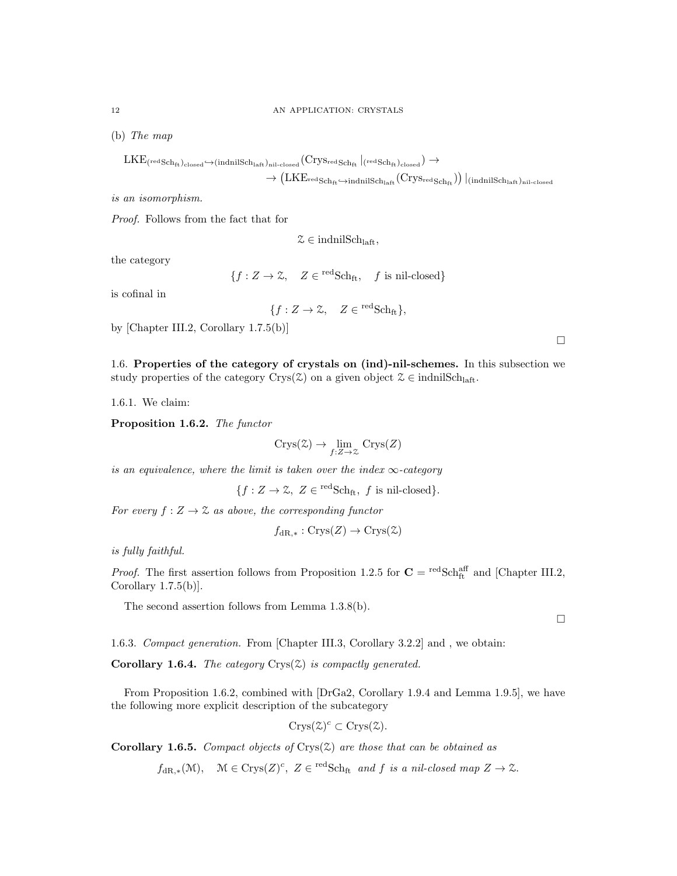(b) The map

$$
\begin{array}{c}\mathrm{LKE}_{(\mathrm{redSch}_{\mathrm{ft}})_{\mathrm{closed}}\hookrightarrow(\mathrm{indnilSch}_{\mathrm{laft}})_{\mathrm{nil-closed}}(\mathrm{Crys}_{\mathrm{redSch}_{\mathrm{ft}}}\left\vert_{(\mathrm{redSch}_{\mathrm{ft}})_{\mathrm{closed}}}\right)\to\\ \hphantom{L\leftarrow} \to (\mathrm{LKE}_{\mathrm{redSch}_{\mathrm{ft}}\hookrightarrow\mathrm{indnilSch}_{\mathrm{lat}}(\mathrm{Crys}_{\mathrm{redSch}_{\mathrm{ft}}}))\left\vert_{(\mathrm{indnilSch}_{\mathrm{lat}})_{\mathrm{nil-closed}}}\right.\\ \hphantom{L\leftarrow} \end{array}
$$

is an isomorphism.

Proof. Follows from the fact that for

 $\mathcal{Z} \in \text{indnilSch}_{\text{left}}$ 

the category

 $\{f: Z \to \mathcal{Z}, \quad Z \in {}^{\text{red}}Sch_{\text{ft}}, \quad f \text{ is nil-closed}\}\$ 

is cofinal in

$$
\{f: Z \to \mathcal{Z}, \quad Z \in {}^{\text{red}}\text{Sch}_{\text{ft}}\},\
$$

by [Chapter III.2, Corollary 1.7.5(b)]

1.6. Properties of the category of crystals on (ind)-nil-schemes. In this subsection we study properties of the category Crys( $\mathcal{Z}$ ) on a given object  $\mathcal{Z} \in \text{indnilSch}_{\text{laff}}$ .

1.6.1. We claim:

Proposition 1.6.2. The functor

$$
Crys(\mathcal{Z}) \to \lim_{f:Z \to \mathcal{Z}} Crys(Z)
$$

is an equivalence, where the limit is taken over the index  $\infty$ -category

 ${f : Z \to \mathcal{Z}, Z \in \text{redSch}_{ft}, f \text{ is nil-closed}}.$ 

For every  $f: Z \to \mathcal{Z}$  as above, the corresponding functor

$$
f_{\text{dR},*}: \text{Crys}(Z) \to \text{Crys}(\mathcal{Z})
$$

is fully faithful.

*Proof.* The first assertion follows from Proposition 1.2.5 for  $C = \text{redSch}^{\text{aff}}_{\text{ft}}$  and [Chapter III.2, Corollary  $1.7.5(b)$ .

The second assertion follows from Lemma 1.3.8(b).

1.6.3. Compact generation. From [Chapter III.3, Corollary 3.2.2] and , we obtain:

**Corollary 1.6.4.** The category  $Crys(\mathbb{Z})$  is compactly generated.

From Proposition 1.6.2, combined with [DrGa2, Corollary 1.9.4 and Lemma 1.9.5], we have the following more explicit description of the subcategory

$$
Crys(\mathcal{Z})^c \subset Crys(\mathcal{Z}).
$$

**Corollary 1.6.5.** Compact objects of Crys $(\mathcal{Z})$  are those that can be obtained as

 $f_{\text{dR},*}(\mathcal{M}), \quad \mathcal{M} \in \text{Crys}(Z)^c, \ Z \in {}^{\text{red}}\text{Sch}_{\text{ft}} \text{ and } f \text{ is a nil-closed map } Z \to \mathcal{Z}.$ 

 $\Box$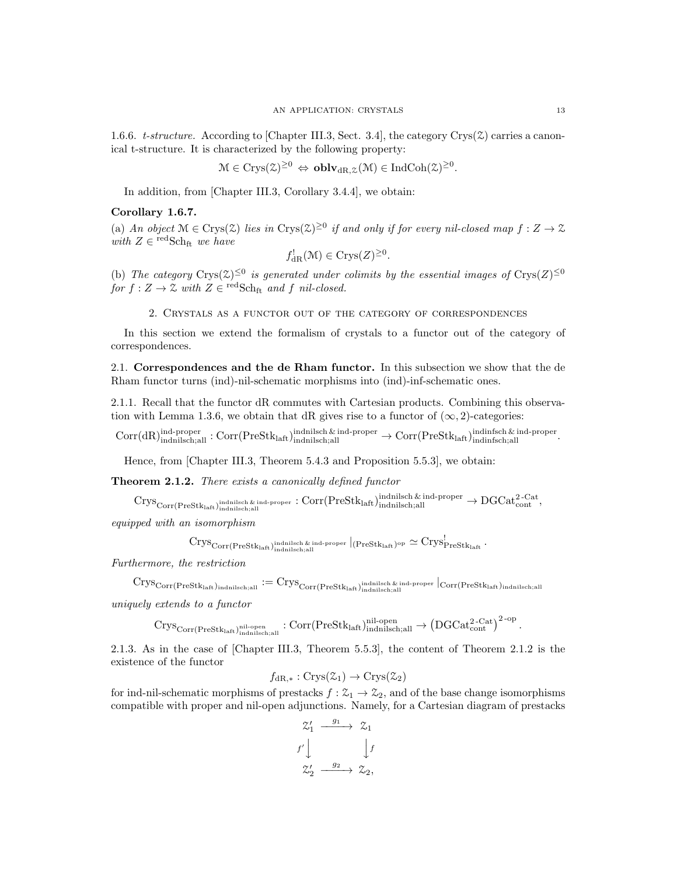1.6.6. t-structure. According to [Chapter III.3, Sect. 3.4], the category Crys( $\mathcal{Z}$ ) carries a canonical t-structure. It is characterized by the following property:

$$
\mathcal{M} \in \text{Crys}(\mathcal{Z})^{\geq 0} \Leftrightarrow \text{oblv}_{\text{dR},\mathcal{Z}}(\mathcal{M}) \in \text{IndCoh}(\mathcal{Z})^{\geq 0}.
$$

In addition, from [Chapter III.3, Corollary 3.4.4], we obtain:

## Corollary 1.6.7.

(a) An object  $\mathcal{M} \in \mathrm{Crys}(\mathcal{Z})$  lies in  $\mathrm{Crys}(\mathcal{Z})^{\geq 0}$  if and only if for every nil-closed map  $f: Z \to \mathcal{Z}$ with  $Z \in {}^{\text{red}}S\text{ch}_{ft}$  we have

$$
f_{\text{dR}}^!(\mathcal{M}) \in \text{Crys}(Z)^{\geq 0}.
$$

(b) The category Crys $(\mathfrak{X})^{\leq 0}$  is generated under colimits by the essential images of Crys $(Z)^{\leq 0}$ for  $f: Z \to \mathcal{Z}$  with  $Z \in {}^{\text{red}}Sch_{ft}$  and f nil-closed.

2. Crystals as a functor out of the category of correspondences

In this section we extend the formalism of crystals to a functor out of the category of correspondences.

2.1. Correspondences and the de Rham functor. In this subsection we show that the de Rham functor turns (ind)-nil-schematic morphisms into (ind)-inf-schematic ones.

2.1.1. Recall that the functor dR commutes with Cartesian products. Combining this observation with Lemma 1.3.6, we obtain that dR gives rise to a functor of  $(\infty, 2)$ -categories:

 $\text{Corr}(\text{dR})_{\text{indnikch};\text{all}}^{\text{ind-proper}}: \text{Corr}(\text{PreStk}_{\text{laff}})_{\text{indnikch};\text{all}}^{\text{indnikch}} \& \text{ind-proper}} \rightarrow \text{Corr}(\text{PreStk}_{\text{laff}})_{\text{indlinkch};\text{all}}^{\text{indinfsch}}.$ 

Hence, from [Chapter III.3, Theorem 5.4.3 and Proposition 5.5.3], we obtain:

Theorem 2.1.2. There exists a canonically defined functor

 $\mathrm{Crys}_{\mathrm{Corr}(\mathrm{PreStk}_{\mathrm{laff}},\mathrm{ind}_{\mathrm{nilsch};\mathrm{all}})}$ indnilsch & ind-proper  $:\mathrm{Corr}(\mathrm{PreStk}_{\mathrm{laff}},\mathrm{ind}_{\mathrm{nilsch};\mathrm{all}})$ indnilsch;all  $\rightarrow \mathrm{DGCat}_{\mathrm{cont}}^{\mathrm{2-Cat}},$ 

equipped with an isomorphism

$$
\mathrm{Crys}_{\mathrm{Corr}(\mathrm{PreStk}_{\mathrm{laff}})_\mathrm{indnilsch,all}}\vert_{\mathrm{end\text{-}proper}}\vert_{(\mathrm{PreStk}_{\mathrm{laff}})^\mathrm{op}}\simeq \mathrm{Crys}^\mathrm{l}_{\mathrm{PreStk}_{\mathrm{laff}}}.
$$

Furthermore, the restriction

$$
\mathrm{Crys}_{\mathrm{Corr}(\mathrm{PreStk}_{\mathrm{laff}})_{\mathrm{indnilsch};\mathrm{all}}}\mathrel{:=}\mathrm{Crys}_{\mathrm{Corr}(\mathrm{PreStk}_{\mathrm{laff}})_{\mathrm{indnilsch};\mathrm{all}}^{\mathrm{indnilsch}}}\vert_{\mathrm{corr}(\mathrm{PreStk}_{\mathrm{laff}})_{\mathrm{indnilsch};\mathrm{all}}}
$$

uniquely extends to a functor

 $\mathrm{Crys}_{\mathrm{Corr}(\mathrm{PreStk}_{\mathrm{laft}})_{\mathrm{indinilsch;all}}^{\mathrm{nil}\text{-}\mathrm{open}}}: \mathrm{Corr}(\mathrm{PreStk}_{\mathrm{laft}})_{\mathrm{indnikch;all}}^{\mathrm{nil}\text{-}\mathrm{open}} \to \left(\mathrm{DGCat}_{\mathrm{cont}}^{\mathrm{2-Cat}}\right)^{\mathrm{2-} \mathrm{op}}.$ 

2.1.3. As in the case of [Chapter III.3, Theorem 5.5.3], the content of Theorem 2.1.2 is the existence of the functor

$$
f_{\text{dR},*}: \text{Crys}(\mathcal{Z}_1) \to \text{Crys}(\mathcal{Z}_2)
$$

for ind-nil-schematic morphisms of prestacks  $f : \mathcal{Z}_1 \to \mathcal{Z}_2$ , and of the base change isomorphisms compatible with proper and nil-open adjunctions. Namely, for a Cartesian diagram of prestacks

$$
\begin{array}{ccc}\n\mathcal{Z}_1' & \xrightarrow{g_1} & \mathcal{Z}_1 \\
f' \downarrow & & \downarrow f \\
\mathcal{Z}_2' & \xrightarrow{g_2} & \mathcal{Z}_2,\n\end{array}
$$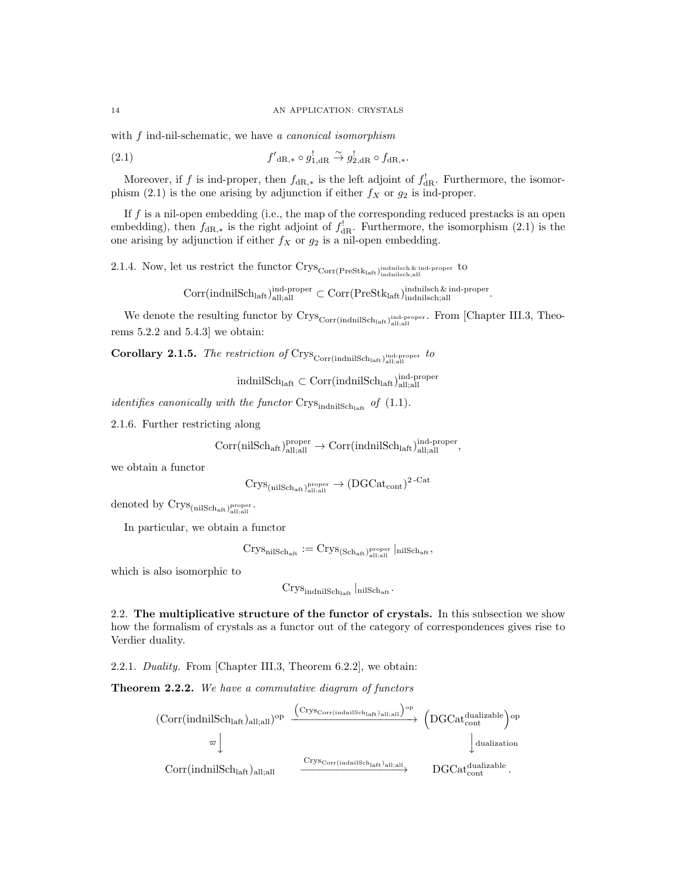with f ind-nil-schematic, we have a canonical isomorphism

 $(2.1)$  $\mathcal{O}_{\mathrm{dR},*} \circ g_{1,\mathrm{dR}}^! \xrightarrow{\sim} g_{2,\mathrm{dR}}^! \circ f_{\mathrm{dR},*}.$ 

Moreover, if f is ind-proper, then  $f_{\text{dR},*}$  is the left adjoint of  $f_{\text{dR}}^!$ . Furthermore, the isomorphism (2.1) is the one arising by adjunction if either  $f_X$  or  $g_2$  is ind-proper.

If  $f$  is a nil-open embedding (i.e., the map of the corresponding reduced prestacks is an open embedding), then  $f_{\text{dR},*}$  is the right adjoint of  $f_{\text{dR}}^!$ . Furthermore, the isomorphism (2.1) is the one arising by adjunction if either  $f_X$  or  $g_2$  is a nil-open embedding.

2.1.4. Now, let us restrict the functor  $\text{Crys}_{\text{Corr}(\text{PreStk}_{\text{laff}},\text{ind}_{\text{nilsch},\text{all}})}$  indnilsch;all

 $\mathrm{Corr}(\mathrm{indnilSch}_{\mathrm{laft}})_{\mathrm{all};\mathrm{all}}^{\mathrm{ind-proper}} \subset \mathrm{Corr}(\mathrm{PreStk}_{\mathrm{laft}})_{\mathrm{indnilsch};\mathrm{all}}^{\mathrm{indnilsch\&\mathrm{ind-proper}}.$ 

We denote the resulting functor by  $\text{Crys}_{\text{Corr}(\text{indnilSch}_{\text{alt}},\text{all};\text{all})}^{\text{ind-proper}}$ . From [Chapter III.3, Theorems 5.2.2 and 5.4.3] we obtain:

**Corollary 2.1.5.** The restriction of Crys<sub>Corr(indnilSchlaft)</sub>  $_{\text{all,all}}^{\text{ind-proper}}$  to

 $\operatorname{indnilSch}_\text{laft} \subset \operatorname{Corr}(\operatorname{indnilSch}_\text{laft})^\text{ind-preper}_\text{all;all}$ 

identifies canonically with the functor  $Crys_{\text{indnilSch}_{\text{laff}}}$  of  $(1.1)$ .

2.1.6. Further restricting along

$$
\mathrm{Corr}(\mathrm{nilSch}_\mathrm{aft})^\mathrm{proper}_\mathrm{all;all}\rightarrow \mathrm{Corr}(\mathrm{indnilSch}_\mathrm{laft})^\mathrm{ind-preper}_\mathrm{all;all},
$$

we obtain a functor

$$
\rm{Crys}_{\rm{(nilSch_{\rm{aff}}})_{{\rm{all}};{\rm{all}}}} \rightarrow (\rm{DGCat}_{{\rm{cont}}})^{\rm{2-Cat}}
$$

denoted by  $\text{Crys}_{\text{(nilSch_{aff})}}^{\text{proper}}$ .

In particular, we obtain a functor

$$
\operatorname{Crys}_{\operatorname{nilSch}_{\operatorname{aft}}}:=\operatorname{Crys}_{(\operatorname{Sch}_{\operatorname{aft}})_{\operatorname{all};\operatorname{all}}^{\operatorname{proper}}}\vert_{\operatorname{nilSch}_{\operatorname{aft}}},
$$

which is also isomorphic to

 $\mathrm{Crys}_{\mathrm{indnilSch}_{\mathrm{laff}}}$  nilSch<sub>aft</sub>

2.2. The multiplicative structure of the functor of crystals. In this subsection we show how the formalism of crystals as a functor out of the category of correspondences gives rise to Verdier duality.

2.2.1. Duality. From [Chapter III.3, Theorem 6.2.2], we obtain:

Theorem 2.2.2. We have a commutative diagram of functors

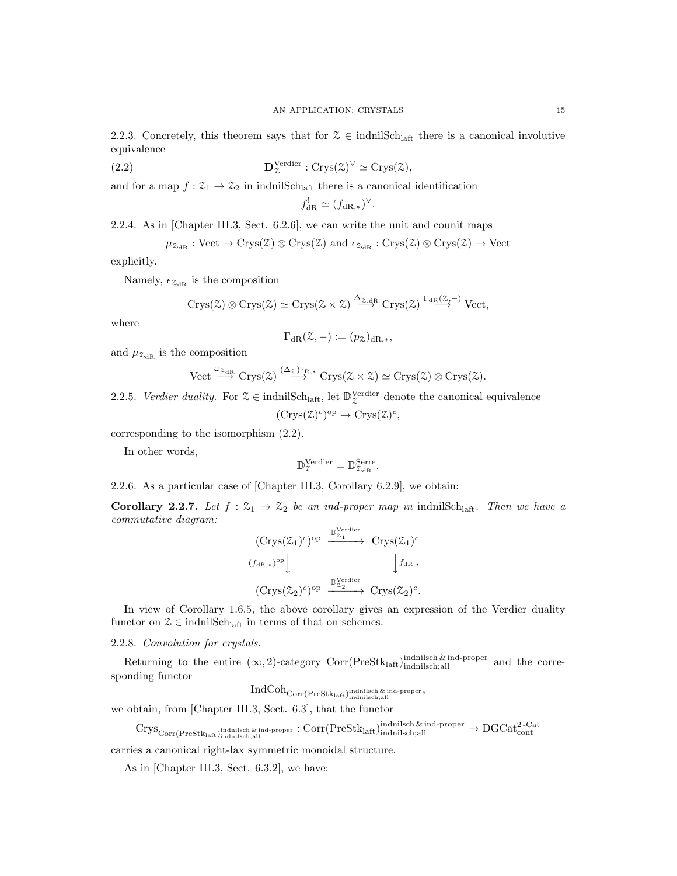2.2.3. Concretely, this theorem says that for  $\mathcal{Z} \in \text{indnilSch}_{\text{laff}}$  there is a canonical involutive equivalence

(2.2) 
$$
\mathbf{D}_{\mathcal{Z}}^{\text{Verdier}} : \text{Crys}(\mathcal{Z})^{\vee} \simeq \text{Crys}(\mathcal{Z}),
$$

and for a map  $f: \mathcal{Z}_1 \to \mathcal{Z}_2$  in indnilSch<sub>laft</sub> there is a canonical identification

$$
f_{\mathrm{dR}}^! \simeq (f_{\mathrm{dR},*})^\vee.
$$

2.2.4. As in [Chapter III.3, Sect. 6.2.6], we can write the unit and counit maps

 $\mu_{\mathcal{Z}_{\text{dR}}} : \text{Vect} \to \text{Crys}(\mathcal{Z}) \otimes \text{Crys}(\mathcal{Z})$  and  $\epsilon_{\mathcal{Z}_{\text{dR}}} : \text{Crys}(\mathcal{Z}) \otimes \text{Crys}(\mathcal{Z}) \to \text{Vect}$ 

explicitly.

Namely,  $\epsilon_{\mathcal{Z}_{dR}}$  is the composition

$$
Crys(\mathbb{Z}) \otimes Crys(\mathbb{Z}) \simeq Crys(\mathbb{Z} \times \mathbb{Z}) \stackrel{\Delta^!_{\mathbb{Z}.dR}}{\longrightarrow} Crys(\mathbb{Z}) \stackrel{\Gamma_{dR}(\mathbb{Z}, -)}{\longrightarrow} Vect,
$$

where

$$
\Gamma_{\mathrm{dR}}(\mathcal{Z},-) := (p_{\mathcal{Z}})_{\mathrm{dR},*},
$$

and  $\mu_{\mathcal{Z}_{\text{dR}}}$  is the composition

Vect 
$$
\xrightarrow{\omega_{\mathcal{Z}_{\mathrm{dR}}}} \mathrm{Crys}(\mathcal{Z}) \xrightarrow{(\Delta_{\mathcal{Z}})_{\mathrm{dR},*}} \mathrm{Crys}(\mathcal{Z} \times \mathcal{Z}) \simeq \mathrm{Crys}(\mathcal{Z}) \otimes \mathrm{Crys}(\mathcal{Z}).
$$

2.2.5. Verdier duality. For  $\mathcal{Z} \in \text{indnilSch}_{\text{laff}}$ , let  $\mathbb{D}_{\mathcal{Z}}^{\text{Verdier}}$  denote the canonical equivalence

$$
(\mathrm{Crys}(\mathcal{Z})^c)^{\mathrm{op}} \to \mathrm{Crys}(\mathcal{Z})^c,
$$

corresponding to the isomorphism (2.2).

In other words,

$$
\mathbb{D}_{\mathcal{Z}}^{\text{Verdier}} = \mathbb{D}_{\mathcal{Z}_{\text{dR}}}^{\text{Serre}}.
$$

2.2.6. As a particular case of [Chapter III.3, Corollary 6.2.9], we obtain:

**Corollary 2.2.7.** Let  $f : \mathcal{Z}_1 \to \mathcal{Z}_2$  be an ind-proper map in indnilSch<sub>laft</sub>. Then we have a commutative diagram:

$$
\begin{array}{ccc}\n(\text{Crys}(\mathcal{Z}_1)^c)^{\text{op}} & \xrightarrow{\mathbb{D}_{\mathcal{Z}_1}^{\text{Verdier}}} & \text{Crys}(\mathcal{Z}_1)^c \\
(\text{Jac},*)^{\text{op}} & & \downarrow f_{\text{dR},*} \\
(\text{Crys}(\mathcal{Z}_2)^c)^{\text{op}} & \xrightarrow{\mathbb{D}_{\mathcal{Z}_2}^{\text{Verdier}}} & \text{Crys}(\mathcal{Z}_2)^c.\n\end{array}
$$

In view of Corollary 1.6.5, the above corollary gives an expression of the Verdier duality functor on  $\mathcal{Z} \in \text{indnilSch}_{\text{left}}$  in terms of that on schemes.

2.2.8. Convolution for crystals.

Returning to the entire  $(\infty, 2)$ -category Corr(PreStk<sub>laft</sub>) indnilsch & ind-proper and the corresponding functor

 $\operatorname{IndCoh}_{\text{Corr}(\text{PreStk}_\text{laff})_{\text{indnilsch} ; \text{all}}^{\text{indnilsch} \text{ & \text{ind-proper}}},$ 

we obtain, from [Chapter III.3, Sect. 6.3], that the functor

 $\mathrm{Crys}_{\mathrm{Corr}(\mathrm{PreStk}_\mathrm{laff},\mathrm{ind}_\mathrm{inidsh,all})}$ indnilsch & ind-proper :  $\mathrm{Corr}(\mathrm{PreStk}_\mathrm{laff},\mathrm{ind}_\mathrm{inidsh,all})$ indnilsch;all

carries a canonical right-lax symmetric monoidal structure.

As in [Chapter III.3, Sect. 6.3.2], we have: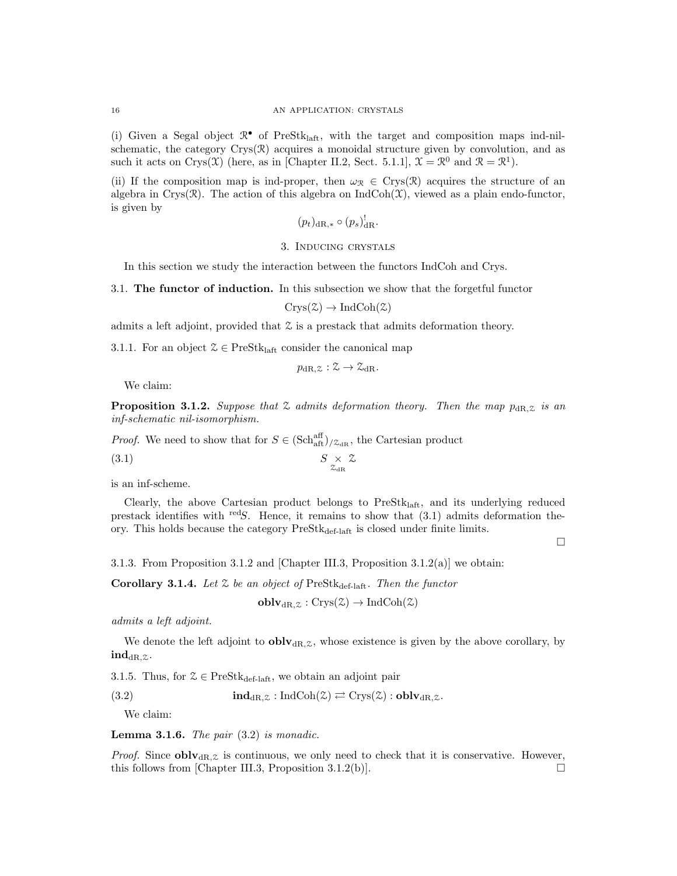(i) Given a Segal object  $\mathbb{R}^{\bullet}$  of PreStk<sub>laft</sub>, with the target and composition maps ind-nilschematic, the category  $Crys(\mathcal{R})$  acquires a monoidal structure given by convolution, and as such it acts on Crys(X) (here, as in [Chapter II.2, Sect. 5.1.1],  $\mathfrak{X} = \mathbb{R}^0$  and  $\mathbb{R} = \mathbb{R}^1$ ).

(ii) If the composition map is ind-proper, then  $\omega_{\mathcal{R}} \in \text{Crys}(\mathcal{R})$  acquires the structure of an algebra in Crys( $\mathcal{R}$ ). The action of this algebra on IndCoh( $\mathcal{X}$ ), viewed as a plain endo-functor, is given by

$$
(p_t)_{\mathrm{dR},*} \circ (p_s)^!_{\mathrm{dR}}.
$$

### 3. Inducing crystals

In this section we study the interaction between the functors IndCoh and Crys.

3.1. The functor of induction. In this subsection we show that the forgetful functor

$$
Crys(\mathcal{Z}) \to \mathrm{IndCoh}(\mathcal{Z})
$$

admits a left adjoint, provided that  $\mathcal Z$  is a prestack that admits deformation theory.

3.1.1. For an object  $\mathcal{Z} \in \text{PreStk}_{\text{laff}}$  consider the canonical map

$$
p_{\mathrm{dR},\mathcal{Z}} : \mathcal{Z} \to \mathcal{Z}_{\mathrm{dR}}.
$$

We claim:

**Proposition 3.1.2.** Suppose that  $\mathcal Z$  admits deformation theory. Then the map  $p_{\text{dR},\mathcal Z}$  is an inf-schematic nil-isomorphism.

*Proof.* We need to show that for  $S \in (\text{Sch}_{\text{aff}}^{\text{aff}})_{\text{at}}$ , the Cartesian product

$$
(3.1) \t\t\t S \underset{z_{\rm dR}}{\times} z
$$

is an inf-scheme.

Clearly, the above Cartesian product belongs to PreStklaft, and its underlying reduced prestack identifies with redS. Hence, it remains to show that  $(3.1)$  admits deformation theory. This holds because the category  $PreStk_{def-latt}$  is closed under finite limits.

 $\Box$ 

3.1.3. From Proposition 3.1.2 and [Chapter III.3, Proposition 3.1.2(a)] we obtain:

Corollary 3.1.4. Let  $\mathcal Z$  be an object of PreStk<sub>def-laft</sub>. Then the functor

$$
\mathbf{oblv}_{\mathrm{dR},\mathcal{Z}}:\mathrm{Crys}(\mathcal{Z})\to\mathrm{IndCoh}(\mathcal{Z})
$$

admits a left adjoint.

We denote the left adjoint to  $oblv_{dR,\mathcal{Z}}$ , whose existence is given by the above corollary, by  $\mathbf{ind}_{\mathrm{dR},z}$ .

3.1.5. Thus, for  $\mathcal{Z} \in \text{PreStk}_{\text{def-laff}},$  we obtain an adjoint pair

(3.2)  $\mathbf{ind}_{\mathrm{dR},\mathcal{Z}} : \mathrm{IndCoh}(\mathcal{Z}) \rightleftarrows \mathrm{Crys}(\mathcal{Z}) : \mathbf{oblv}_{\mathrm{dR},\mathcal{Z}}.$ 

We claim:

**Lemma 3.1.6.** The pair  $(3.2)$  is monadic.

*Proof.* Since **obly**<sub>dR, Z</sub> is continuous, we only need to check that it is conservative. However, this follows from [Chapter III.3, Proposition 3.1.2(b)].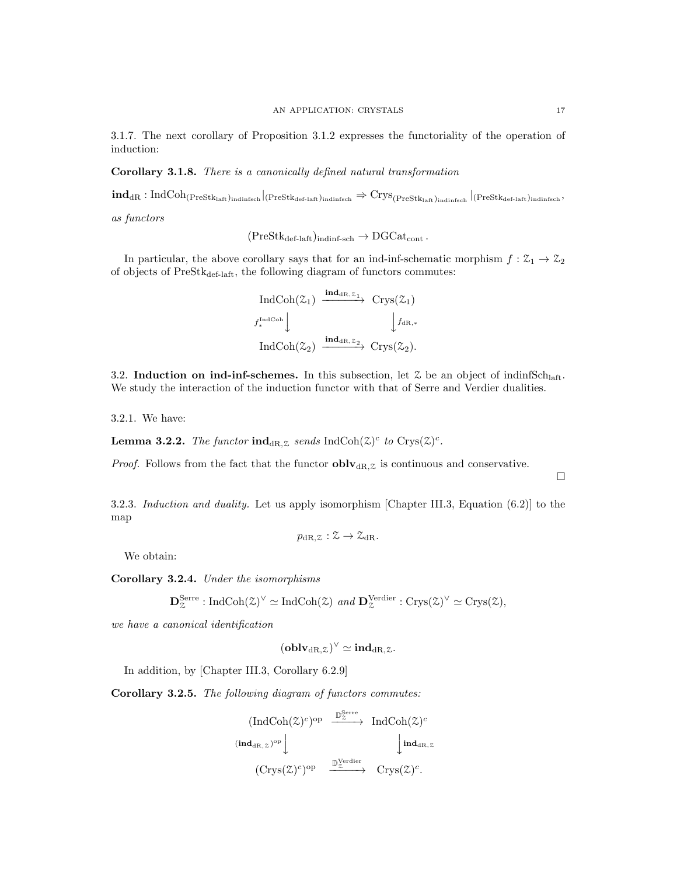3.1.7. The next corollary of Proposition 3.1.2 expresses the functoriality of the operation of induction:

Corollary 3.1.8. There is a canonically defined natural transformation

 $\textbf{ind}_{\text{dR}}:\text{IndCoh}_{(\text{PreStk}_{\text{laff}})_{\text{indinfsch}}}\vert_{(\text{PreStk}_{\text{def-laff}})_{\text{indinfsch}}} \Rightarrow \text{Crys}_{(\text{PreStk}_{\text{laff}})_{\text{indinfsch}}}\vert_{(\text{PreStk}_{\text{def-laff}})_{\text{indinfsch}}},$ 

as functors

$$
(\mathrm{PreStk}_{\mathrm{def-laft}})_{\mathrm{indinf-sch}} \to \mathrm{DGCat}_{\mathrm{cont}}.
$$

In particular, the above corollary says that for an ind-inf-schematic morphism  $f: \mathcal{Z}_1 \to \mathcal{Z}_2$ of objects of  $\mathrm{PreStk}_{\mathrm{def-laft}},$  the following diagram of functors commutes:

$$
\begin{array}{ccc}\n\text{IndCoh}(\mathcal{Z}_1) & \xrightarrow{\textbf{ind}_{\text{dR},\mathcal{Z}_1}} & \text{Crys}(\mathcal{Z}_1) \\
\downarrow f_*^{\text{IndCoh}} & & \downarrow f_{\text{dR},*} \\
\text{IndCoh}(\mathcal{Z}_2) & \xrightarrow{\textbf{ind}_{\text{dR},\mathcal{Z}_2}} & \text{Crys}(\mathcal{Z}_2).\n\end{array}
$$

3.2. Induction on ind-inf-schemes. In this subsection, let  $\mathcal Z$  be an object of indinfSch<sub>laft</sub>. We study the interaction of the induction functor with that of Serre and Verdier dualities.

3.2.1. We have:

**Lemma 3.2.2.** The functor  $\text{ind}_{\text{dR},z}$  sends  $\text{IndCoh}(\mathcal{Z})^c$  to  $\text{Crys}(\mathcal{Z})^c$ .

*Proof.* Follows from the fact that the functor  $oblv_{dR,\mathcal{Z}}$  is continuous and conservative.

3.2.3. Induction and duality. Let us apply isomorphism [Chapter III.3, Equation (6.2)] to the map

$$
p_{\mathrm{dR},\mathcal{Z}}:\mathcal{Z}\to\mathcal{Z}_{\mathrm{dR}}.
$$

We obtain:

Corollary 3.2.4. Under the isomorphisms

$$
\mathbf{D}_{\mathcal{Z}}^{\text{Serre}}: \text{IndCoh}(\mathcal{Z})^{\vee} \simeq \text{IndCoh}(\mathcal{Z}) \text{ and } \mathbf{D}_{\mathcal{Z}}^{\text{Verdier}}: \text{Crys}(\mathcal{Z})^{\vee} \simeq \text{Crys}(\mathcal{Z}),
$$

we have a canonical identification

$$
({\bf oblv}_{\mathrm{dR},\mathbb{Z}})^\vee \simeq {\bf ind}_{\mathrm{dR},\mathbb{Z}}.
$$

In addition, by [Chapter III.3, Corollary 6.2.9]

Corollary 3.2.5. The following diagram of functors commutes:

$$
\begin{array}{ccc}\n\text{(IndCoh}(\mathcal{Z})^c)^{\text{op}} & \xrightarrow{\mathbb{D}_{\mathcal{Z}}^{\text{Serre}}} & \text{IndCoh}(\mathcal{Z})^c \\
\text{(ind}_{\text{dR},z})^{\text{op}} & \downarrow & \text{ind}_{\text{dR},z} \\
\text{(Crys}(\mathcal{Z})^c)^{\text{op}} & \xrightarrow{\mathbb{D}_{\mathcal{Z}}^{\text{Verdier}}} & \text{Crys}(\mathcal{Z})^c.\n\end{array}
$$

 $\Box$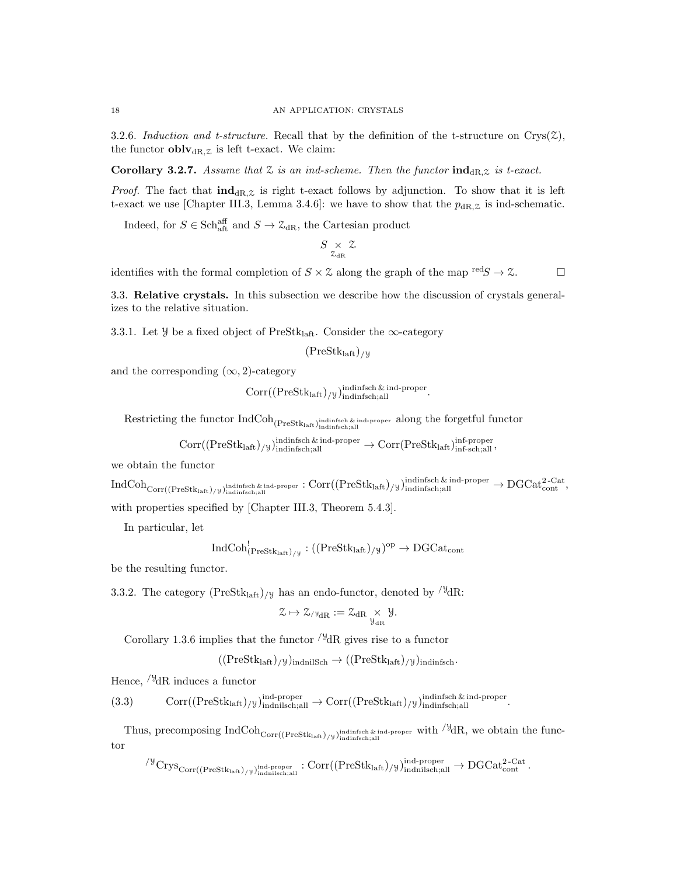3.2.6. Induction and t-structure. Recall that by the definition of the t-structure on  $Crys(\mathcal{Z})$ , the functor  ${\bf oblv}_{\rm dR, \mathcal{Z}}$  is left t-exact. We claim:

Corollary 3.2.7. Assume that  $\mathfrak X$  is an ind-scheme. Then the functor  $\text{ind}_{\text{dR},\mathfrak X}$  is t-exact.

*Proof.* The fact that  $ind_{\text{dR},\mathcal{Z}}$  is right t-exact follows by adjunction. To show that it is left t-exact we use [Chapter III.3, Lemma 3.4.6]: we have to show that the  $p_{\text{dR},z}$  is ind-schematic.

Indeed, for  $S \in \text{Sch}_{\text{aff}}^{\text{aff}}$  and  $S \to \mathcal{Z}_{\text{dR}}$ , the Cartesian product

$$
S\underset{\rm \mathcal{Z}_{\rm dR}}{\times} \mathcal{Z}
$$

identifies with the formal completion of  $S \times \mathcal{Z}$  along the graph of the map  $\text{red}S \to \mathcal{Z}$ .

3.3. Relative crystals. In this subsection we describe how the discussion of crystals generalizes to the relative situation.

3.3.1. Let  $\mathcal{Y}$  be a fixed object of PreStk<sub>laft</sub>. Consider the  $\infty$ -category

$$
(\mathrm{PreStk}_{\mathrm{laft}})_{/y}
$$

and the corresponding  $(\infty, 2)$ -category

 $Corr((\text{PreStk}_{\text{laff}})_{/\mathcal{Y}})_{\text{indinfsch, all}}^{\text{indingsch} \& \text{ ind-proper}}.$ 

 $\text{Restricting the functor IndCoh}_{(\text{PreStk}_{\text{laff}})_{\text{indinfisch};\text{all}}}$  along the forgetful functor

$$
\mathrm{Corr}((\mathrm{PreStk}_{\mathrm{laff}})_{/y})_{\mathrm{indinfsch, all}}^{\mathrm{indinfsch\, \&\, \mathrm{ind}}\text{-proper}} \to \mathrm{Corr}(\mathrm{PreStk}_{\mathrm{laff}})_{\mathrm{inf}\text{-sch; all}}^{\mathrm{inf}} ,
$$

we obtain the functor

 $\mathrm{IndCoh}_{\mathrm{Corr}((\mathrm{PreStk}_{\mathrm{laff}})_{/y})_{\mathrm{indinfsfch},\mathrm{all}}^{\mathrm{indingsch}\ \&\ \mathrm{ind-proper}}:\mathrm{Corr}((\mathrm{PreStk}_{\mathrm{laff}})_{/y})_{\mathrm{indinfsfch},\mathrm{all}}^{\mathrm{indingsch}\ \&\ \mathrm{ind-proper}} \to \mathrm{DGCat}_{\mathrm{cont}}^{\mathrm{2-Cat}},$ 

with properties specified by [Chapter III.3, Theorem 5.4.3].

In particular, let

$$
\operatorname{IndCoh}^!_{\left(\operatorname{PreStk}_{\operatorname{laff}}\right)_{/\mathcal{Y}}}:((\operatorname{PreStk}_{\operatorname{laff}})_{/\mathcal{Y}})^{\operatorname{op}}\to \operatorname{DGCat}_{\operatorname{cont}}
$$

be the resulting functor.

3.3.2. The category  $(PreStk<sub>laff</sub>)_{/\mathcal{Y}}$  has an endo-functor, denoted by  $/^{\mathcal{Y}}dR$ :

$$
\mathcal{Z}\mapsto \mathcal{Z}_{/\mathbb{Y}_{dR}}:=\mathcal{Z}_{dR}\underset{\mathcal{Y}_{dR}}{\times}\mathcal{Y}.
$$

Corollary 1.3.6 implies that the functor  $\frac{\partial^2}{\partial R}$  gives rise to a functor

 $((PreStk<sub>laff</sub>)/y)<sub>indnik</sub> \rightarrow ((PreStk<sub>laff</sub>)/y)<sub>indinfsch</sub>.$ 

Hence,  $\frac{1}{9}$ dR induces a functor

(3.3) 
$$
Corr((PreStk_{\text{laff}})_{/\mathcal{Y}})_{\text{indniksh,all}}^{\text{ind-proper}} \rightarrow Corr((PreStk_{\text{laff}})_{/\mathcal{Y}})_{\text{indinfsch,all}}^{\text{indinfsch & ind-proper}}.
$$

Thus, precomposing  $\text{IndCoh}_{\text{Corr}((\text{PreStk}_{\text{laff}}) / y)_{\text{indinfsch,all}}}$  with  $\frac{y}{dR}$ , we obtain the functor

 $\sqrt{\frac{y}{y}} \text{Crys}_{\text{Corr}((\text{PreStk}_{\text{laff}})_{/\frac{y}{y}})^{\text{ind-proper}}_{\text{indmilsch};all}}: \text{Corr}((\text{PreStk}_{\text{laff}})_{/\frac{y}{y}})^{\text{ind-proper}}_{\text{indmilsch};all} \to \text{DGCat}_{\text{cont}}^{\text{2-Cat}}.$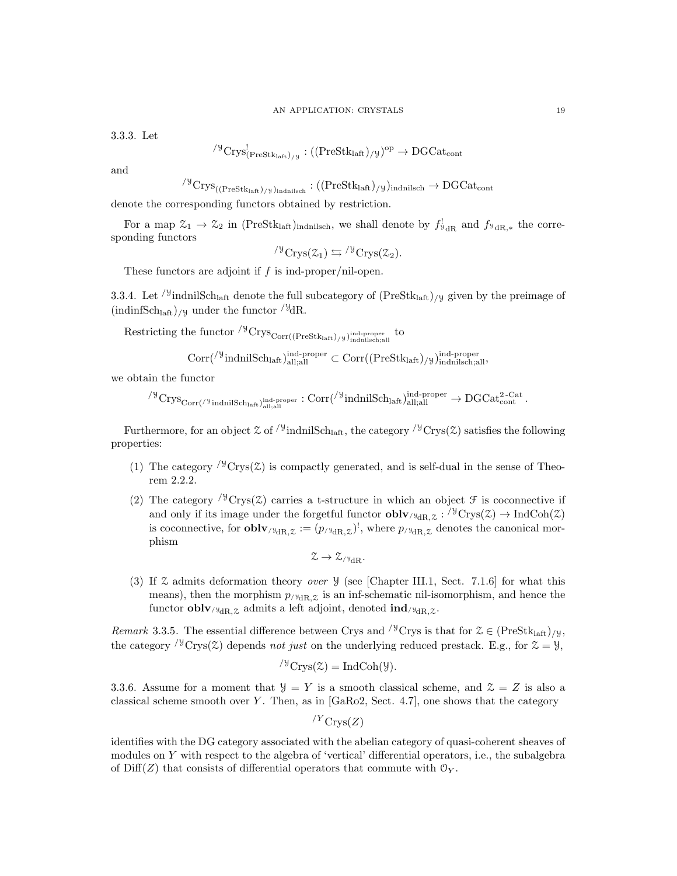3.3.3. Let

$$
^{\prime\mathcal{Y}}\mathrm{Crys}^!_{( \mathrm{PreStk}_{\mathrm{laft}})_{/\mathcal{Y}}}:((\mathrm{PreStk}_{\mathrm{laft}})_{/\mathcal{Y}})^{\mathrm{op}}\to \mathrm{DGCat}_{\mathrm{cont}}
$$

and

$$
^{\prime \mathcal{Y}}\mathrm{Crys}_{((\mathrm{PreStk}_{\mathrm{laff}})_{/\mathcal{Y}})_{\mathrm{indniisch}}} : ((\mathrm{PreStk}_{\mathrm{laff}})_{/\mathcal{Y}})_{\mathrm{indnilsch}} \rightarrow \mathrm{DGCat}_{\mathrm{cont}}
$$

denote the corresponding functors obtained by restriction.

For a map  $\mathfrak{Z}_1 \to \mathfrak{Z}_2$  in (PreStk<sub>laft</sub>)<sub>indnilsch</sub>, we shall denote by  $f_{\mathfrak{y}_{\text{dR}}}^!$  and  $f_{\mathfrak{y}_{\text{dR},*}}$  the corresponding functors

$$
{}^{\prime\mathcal{Y}}\mathrm{Crys}(\mathcal{Z}_1)\leftrightarrows{}^{\prime\mathcal{Y}}\mathrm{Crys}(\mathcal{Z}_2).
$$

These functors are adjoint if f is ind-proper/nil-open.

3.3.4. Let <sup>/y</sup>indnilSch<sub>laft</sub> denote the full subcategory of  $(PreStk<sub>laff</sub>)$ /y given by the preimage of  $(\text{indinfSch}_{\text{laft}})_{/y}$  under the functor  $\frac{y}{y}dR$ .

 $\text{Restricting the functor } \rm {}^{{\rm /}{\rm y}}\rm Crys_{Corr((PreStk_{\mathrm{laff}})/{\rm y})}^{\text{ind-preper}}$  to

 $\text{Corr}(\frac{\text{y}_{\text{indnilSch}_{\text{laff}}}}{\text{ind-}\text{prod}_{\text{all}}})$  all, all  $\subset \text{Corr}((\text{PreStk}_{\text{laff}})/\text{y}_{\text{indnilSch}_{\text{all}}},$ 

we obtain the functor

$$
^{\prime\mathcal Y}\mathrm{Crys}_{\mathrm{Corr}({}^{\prime\mathcal Y}\mathrm{indnilSch}_{\mathrm{laft}})_{\mathrm{all;all}}^{\mathrm{ind-proper}}}: \mathrm{Corr}({}^{\prime\mathcal Y}\mathrm{indnilSch}_{\mathrm{laft}})_{\mathrm{all;all}}^{\mathrm{ind-proper}}\to \mathrm{DGCat}_{\mathrm{cont}}^{2\text{-Cat}}.
$$

Furthermore, for an object  $\mathfrak{L}$  of  $\sqrt{9}$  indnilSch<sub>laft</sub>, the category  $\sqrt{9}$ Crys( $\mathfrak{L}$ ) satisfies the following properties:

- (1) The category  $\sqrt{9}$ Crys(2) is compactly generated, and is self-dual in the sense of Theorem 2.2.2.
- (2) The category  $\sqrt{9}$ Crys(2) carries a t-structure in which an object  $\mathcal F$  is coconnective if and only if its image under the forgetful functor  $oblv_{\forall dR,\mathcal{Z}}: \forall^{\mathcal{Y}}Crys(\mathcal{Z}) \to \text{IndCoh}(\mathcal{Z})$ is coconnective, for **oblv**/ $\mathcal{H}_{dR,\mathcal{Z}} := (p/\mathcal{H}_{dR,\mathcal{Z}})^!$ , where  $p/\mathcal{H}_{dR,\mathcal{Z}}$  denotes the canonical morphism

$$
\mathcal{Z}\to \mathcal{Z}_{/\mathbb{Y}_{dR}}.
$$

(3) If  $\mathfrak X$  admits deformation theory *over*  $\mathcal Y$  (see [Chapter III.1, Sect. 7.1.6] for what this means), then the morphism  $p_{\text{y}_{dR,Z}}$  is an inf-schematic nil-isomorphism, and hence the functor **oblv**/ $y_{dR, \chi}$  admits a left adjoint, denoted **ind**/ $y_{dR, \chi}$ .

*Remark* 3.3.5. The essential difference between Crys and <sup>/y</sup>Crys is that for  $\mathcal{Z} \in (\text{PreStk}_{\text{laff}})_{/\mathcal{Y}},$ the category  $\sqrt{9}$ Crys(2) depends not just on the underlying reduced prestack. E.g., for  $\mathcal{Z} = \mathcal{Y}$ ,

$$
{}^{\prime\mathcal{Y}}\mathrm{Crys}(\mathcal{Z})=\mathrm{IndCoh}(\mathcal{Y}).
$$

3.3.6. Assume for a moment that  $Y = Y$  is a smooth classical scheme, and  $Z = Z$  is also a classical scheme smooth over Y. Then, as in  $[GARo2, Sect. 4.7]$ , one shows that the category

$$
^{/Y}{\rm Crys}(Z)
$$

identifies with the DG category associated with the abelian category of quasi-coherent sheaves of modules on Y with respect to the algebra of 'vertical' differential operators, i.e., the subalgebra of Diff(Z) that consists of differential operators that commute with  $\mathcal{O}_Y$ .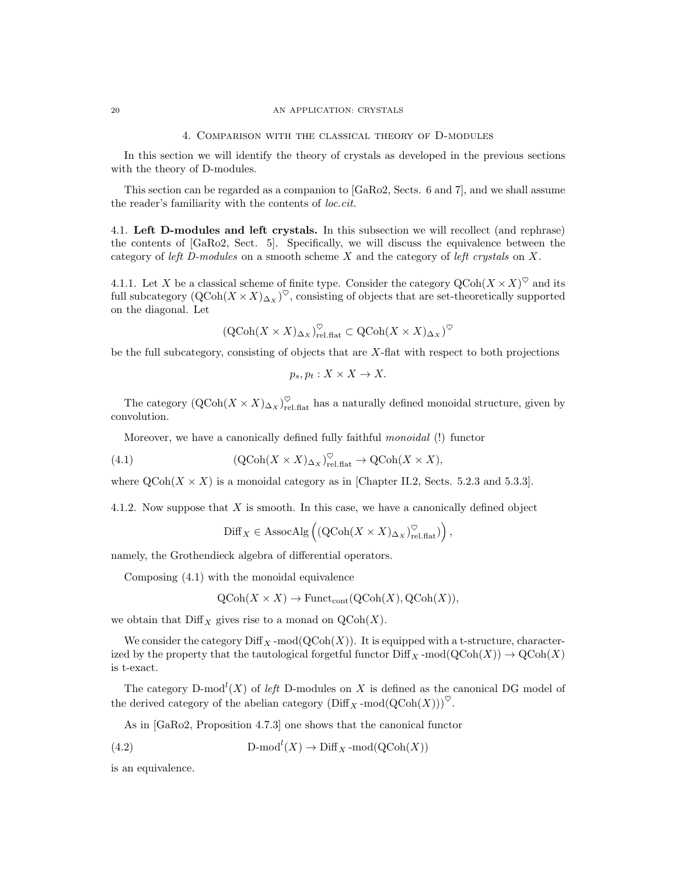#### 20 AN APPLICATION: CRYSTALS

#### 4. Comparison with the classical theory of D-modules

In this section we will identify the theory of crystals as developed in the previous sections with the theory of D-modules.

This section can be regarded as a companion to [GaRo2, Sects. 6 and 7], and we shall assume the reader's familiarity with the contents of loc.cit.

4.1. Left D-modules and left crystals. In this subsection we will recollect (and rephrase) the contents of [GaRo2, Sect. 5]. Specifically, we will discuss the equivalence between the category of left D-modules on a smooth scheme X and the category of left crystals on X.

4.1.1. Let X be a classical scheme of finite type. Consider the category  $\mathrm{QCoh}(X \times X)^\heartsuit$  and its full subcategory  $(QCoh(X \times X)_{\Delta_X})^{\heartsuit}$ , consisting of objects that are set-theoretically supported on the diagonal. Let

$$
(\operatorname{QCoh}(X \times X)_{\Delta_X})^{\heartsuit}_{\operatorname{rel},\operatorname{flat}} \subset \operatorname{QCoh}(X \times X)_{\Delta_X})^{\heartsuit}
$$

be the full subcategory, consisting of objects that are X-flat with respect to both projections

$$
p_s, p_t: X \times X \to X.
$$

The category  $(QCoh(X \times X)_{\Delta_X})_{rel.\text{flat}}^{\heartsuit}$  has a naturally defined monoidal structure, given by convolution.

Moreover, we have a canonically defined fully faithful monoidal (!) functor

(4.1) 
$$
(\text{QCoh}(X \times X)_{\Delta_X})_{\text{rel.flat}}^{\heartsuit} \to \text{QCoh}(X \times X),
$$

where  $QCoh(X \times X)$  is a monoidal category as in [Chapter II.2, Sects. 5.2.3 and 5.3.3].

4.1.2. Now suppose that  $X$  is smooth. In this case, we have a canonically defined object

$$
\mathrm{Diff}_X \in \mathrm{AssocAlg}\left( (\mathrm{QCoh}(X \times X)_{\Delta_X})_{\mathrm{rel.flat}}^{\heartsuit}) \right),
$$

namely, the Grothendieck algebra of differential operators.

Composing (4.1) with the monoidal equivalence

$$
QCoh(X \times X) \to
$$
 Funct<sub>cont</sub> $(QCoh(X), QCoh(X)),$ 

we obtain that  $\text{Diff}_X$  gives rise to a monad on  $\text{QCoh}(X)$ .

We consider the category  $\text{Diff}_X$ -mod $(\text{QCoh}(X))$ . It is equipped with a t-structure, characterized by the property that the tautological forgetful functor  $\text{Diff}_X$ -mod $(\text{QCoh}(X)) \to \text{QCoh}(X)$ is t-exact.

The category D-mod<sup>l</sup> $(X)$  of left D-modules on X is defined as the canonical DG model of the derived category of the abelian category  $(\text{Diff}_X\text{-mod}(\text{QCoh}(X)))^{\heartsuit}$ .

As in [GaRo2, Proposition 4.7.3] one shows that the canonical functor

(4.2) 
$$
\text{D-mod}^l(X) \to \text{Diff}_X\text{-mod}(\text{QCoh}(X))
$$

is an equivalence.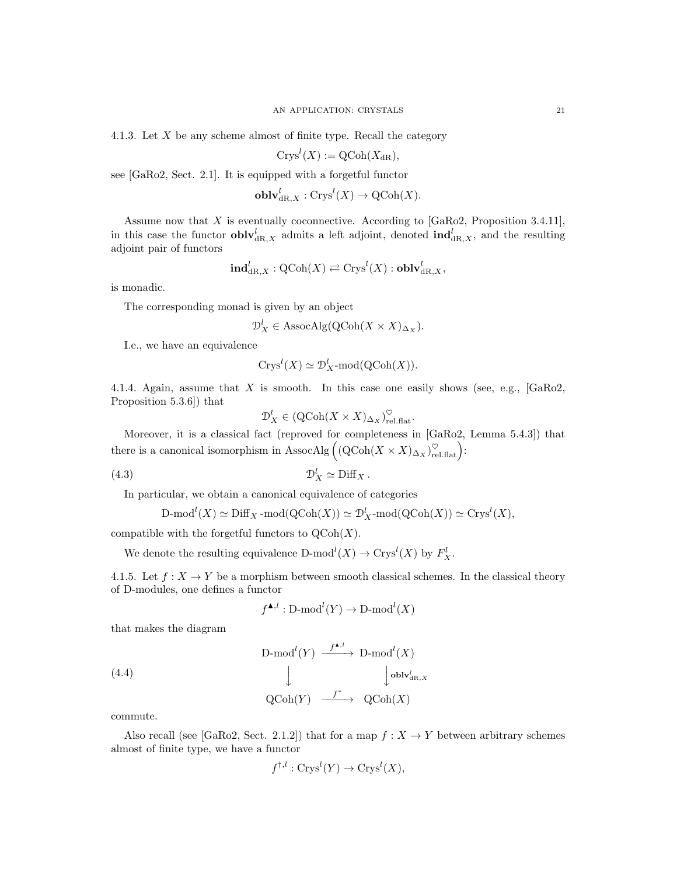4.1.3. Let  $X$  be any scheme almost of finite type. Recall the category

$$
Crys^l(X) := \mathrm{QCoh}(X_{\mathrm{dR}}),
$$

see [GaRo2, Sect. 2.1]. It is equipped with a forgetful functor

$$
\mathbf{oblv}_{\mathrm{dR},X}^{l} : \mathrm{Crys}^{l}(X) \to \mathrm{QCoh}(X).
$$

Assume now that X is eventually coconnective. According to  $[GaRo2,$  Proposition 3.4.11], in this case the functor  $\textbf{oblv}_{\text{dR},X}^l$  admits a left adjoint, denoted  $\textbf{ind}_{\text{dR},X}^l$ , and the resulting adjoint pair of functors

$$
\mathbf{ind}_{\mathrm{dR},X}^l:\mathrm{QCoh}(X)\rightleftarrows \mathrm{Crys}^l(X):\mathbf{oblv}_{\mathrm{dR},X}^l,
$$

is monadic.

The corresponding monad is given by an object

$$
\mathcal{D}_X^l \in \text{AssocAlg}(\text{QCoh}(X \times X)_{\Delta_X}).
$$

I.e., we have an equivalence

$$
Crysl(X) \simeq \mathcal{D}^l_X\text{-mod}(QCoh(X)).
$$

4.1.4. Again, assume that X is smooth. In this case one easily shows (see, e.g.,  $[GaRo2,$ Proposition 5.3.6]) that

$$
\mathcal{D}_X^l \in (\mathrm{QCoh}(X \times X)_{\Delta_X})_{\mathrm{rel.flat}}^{\heartsuit}.
$$

Moreover, it is a classical fact (reproved for completeness in [GaRo2, Lemma 5.4.3]) that there is a canonical isomorphism in AssocAlg  $((QCoh(X \times X)_{\Delta_X})_{rel.fat}^{\heartsuit})$ :

(4.3) D<sup>l</sup> <sup>X</sup> ' Diff<sup>X</sup> .

In particular, we obtain a canonical equivalence of categories

$$
\mathrm{D\text{-}mod}^l(X) \simeq \mathrm{Diff}_X\operatorname{-mod}(\mathrm{QCoh}(X)) \simeq \mathcal{D}^l_X\operatorname{-mod}(\mathrm{QCoh}(X)) \simeq \mathrm{Crys}^l(X),
$$

compatible with the forgetful functors to  $\mathrm{QCoh}(X)$ .

We denote the resulting equivalence  $D\text{-mod}^l(X) \to \text{Crys}^l(X)$  by  $F_X^l$ .

4.1.5. Let  $f: X \to Y$  be a morphism between smooth classical schemes. In the classical theory of D-modules, one defines a functor

$$
f^{\blacktriangle, l}: \mathrm{D\text{-}mod}^l(Y) \to \mathrm{D\text{-}mod}^l(X)
$$

that makes the diagram

(4.4) D-mod<sup>l</sup> (Y ) f N,l −−−−→ D-mod<sup>l</sup> (X) y y oblv<sup>l</sup> dR,X QCoh(Y ) f ∗ −−−−→ QCoh(X)

commute.

Also recall (see [GaRo2, Sect. 2.1.2]) that for a map  $f: X \to Y$  between arbitrary schemes almost of finite type, we have a functor

$$
f^{\dagger,l}: \text{Crys}^l(Y) \to \text{Crys}^l(X),
$$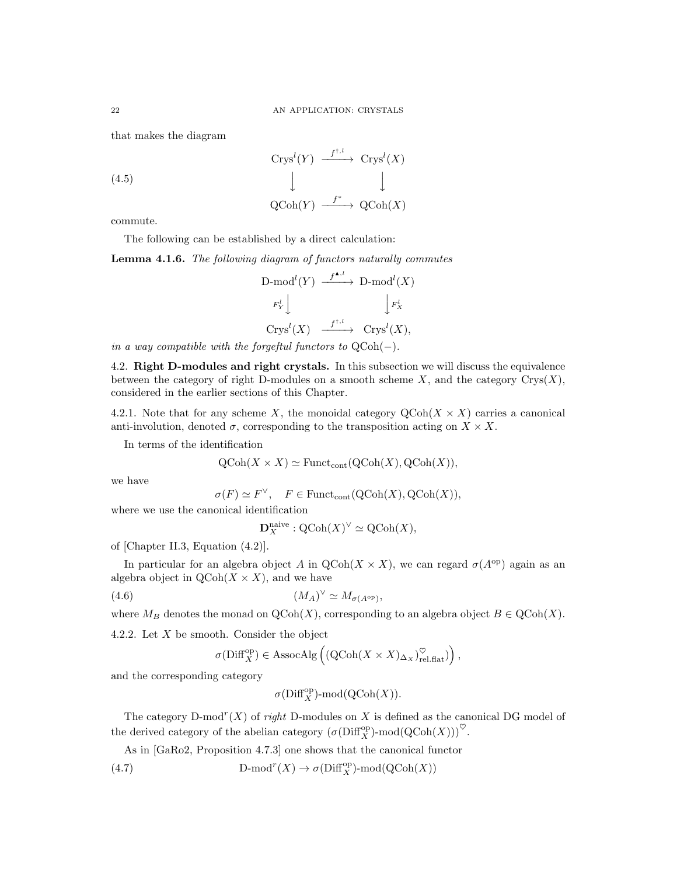that makes the diagram

$$
\begin{array}{ccc}\n\text{Crys}^l(Y) & \xrightarrow{f^{\dagger,l}} & \text{Crys}^l(X) \\
\downarrow & & \downarrow \\
\text{QCoh}(Y) & \xrightarrow{f^*} & \text{QCoh}(X)\n\end{array}
$$

commute.

The following can be established by a direct calculation:

Lemma 4.1.6. The following diagram of functors naturally commutes

$$
\begin{array}{ccc}\n\text{D-mod}^{l}(Y) & \xrightarrow{f^{\blacktriangle, l}} & \text{D-mod}^{l}(X) \\
\downarrow F_{Y}^{l} & & \downarrow F_{X}^{l} \\
\text{Crys}^{l}(X) & \xrightarrow{f^{\dagger, l}} & \text{Crys}^{l}(X),\n\end{array}
$$

in a way compatible with the forgeftul functors to  $QCoh(-)$ .

4.2. Right D-modules and right crystals. In this subsection we will discuss the equivalence between the category of right D-modules on a smooth scheme  $X$ , and the category  $Crys(X)$ , considered in the earlier sections of this Chapter.

4.2.1. Note that for any scheme X, the monoidal category  $\text{QCoh}(X \times X)$  carries a canonical anti-involution, denoted  $\sigma$ , corresponding to the transposition acting on  $X \times X$ .

In terms of the identification

$$
\mathrm{QCoh}(X \times X) \simeq \mathrm{Funct}_{\mathrm{cont}}(\mathrm{QCoh}(X), \mathrm{QCoh}(X)),
$$

we have

$$
\sigma(F) \simeq F^{\vee}, \quad F \in \text{Funct}_{\text{cont}}(\text{QCoh}(X), \text{QCoh}(X)),
$$

where we use the canonical identification

$$
\mathbf{D}_X^{\text{naive}} : \mathrm{QCoh}(X)^\vee \simeq \mathrm{QCoh}(X),
$$

of [Chapter II.3, Equation (4.2)].

In particular for an algebra object A in  $\text{QCoh}(X \times X)$ , we can regard  $\sigma(A^{\text{op}})$  again as an algebra object in  $\text{QCoh}(X \times X)$ , and we have

$$
(4.6) \t\t\t\t\t(M_A)^{\vee} \simeq M_{\sigma(A^{\text{op}})},
$$

where  $M_B$  denotes the monad on  $\mathrm{QCoh}(X)$ , corresponding to an algebra object  $B \in \mathrm{QCoh}(X)$ .

4.2.2. Let  $X$  be smooth. Consider the object

$$
\sigma(\mathrm{Diff}_X^{\mathrm{op}}) \in \mathrm{AssocAlg}\left(\left(\mathrm{QCoh}(X \times X)_{\Delta_X}\right)_{\mathrm{rel.flat}}^{\heartsuit}\right),
$$

and the corresponding category

$$
\sigma({\rm Diff}^{\rm op}_X)\operatorname{\!-mod}\nolimits({\rm QCoh}(X)).
$$

The category D-mod<sup>r</sup> $(X)$  of right D-modules on X is defined as the canonical DG model of the derived category of the abelian category  $(\sigma(Diff_X^{\text{op}})$ -mod $(\mathrm{QCoh}(X)))^{\heartsuit}$ .

As in [GaRo2, Proposition 4.7.3] one shows that the canonical functor

(4.7) D-mod<sup>r</sup>(X)  $\rightarrow \sigma(\text{Diff}_X^{\text{op}})$ -mod(QCoh(X))

(4.5)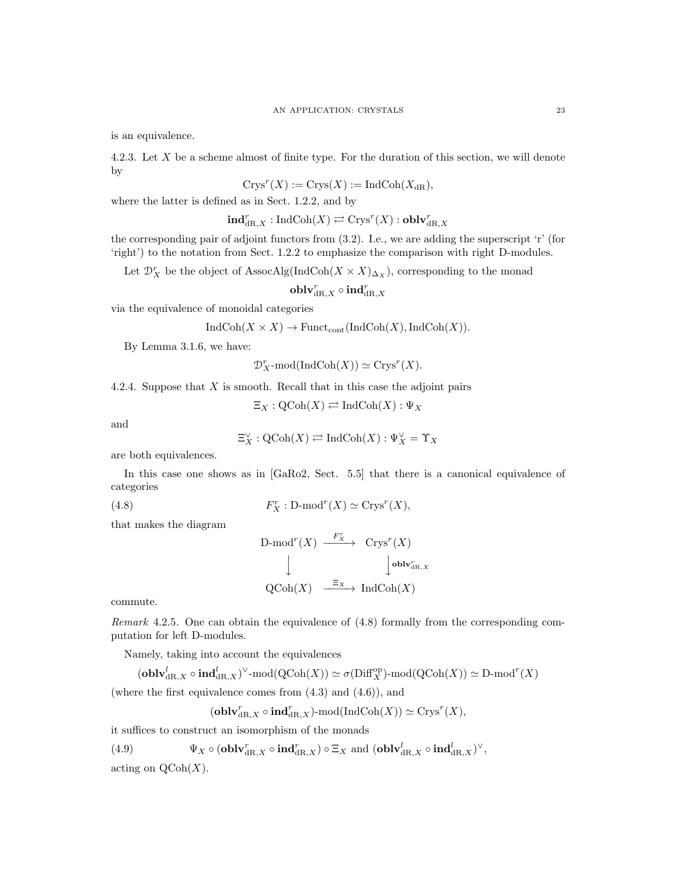is an equivalence.

4.2.3. Let X be a scheme almost of finite type. For the duration of this section, we will denote by

$$
Crys^r(X) := Crys(X) := \mathrm{IndCoh}(X_{\mathrm{dR}}),
$$

where the latter is defined as in Sect. 1.2.2, and by

$$
\mathbf{ind}_{\mathrm{dR},X}^r : \mathrm{IndCoh}(X) \rightleftarrows \mathrm{Crys}^r(X) : \mathbf{oblv}_{\mathrm{dR},X}^r
$$

the corresponding pair of adjoint functors from (3.2). I.e., we are adding the superscript 'r' (for 'right') to the notation from Sect. 1.2.2 to emphasize the comparison with right D-modules.

Let  $\mathcal{D}_X^r$  be the object of AssocAlg(IndCoh( $X \times X$ )<sub> $\Delta_X$ </sub>), corresponding to the monad

 $\operatorname{\textbf{oblv}}_{\mathrm{dR},X}^r \circ \operatorname{\textbf{ind}}_{\mathrm{dR},X}^r$ 

via the equivalence of monoidal categories

 $IndCoh(X \times X) \to Funct_{cont}(IndCoh(X), IndCoh(X)).$ 

By Lemma 3.1.6, we have:

$$
\mathcal{D}^r_X\text{-mod}(\text{IndCoh}(X))\simeq\text{Crys}^r(X).
$$

4.2.4. Suppose that  $X$  is smooth. Recall that in this case the adjoint pairs

$$
\Xi_X : \mathrm{QCoh}(X) \rightleftarrows \mathrm{IndCoh}(X) : \Psi_X
$$

and

$$
\Xi_X^{\vee} : \mathrm{QCoh}(X) \rightleftarrows \mathrm{IndCoh}(X) : \Psi_X^{\vee} = \Upsilon_X
$$

are both equivalences.

In this case one shows as in [GaRo2, Sect. 5.5] that there is a canonical equivalence of categories

(4.8) 
$$
F_X^r: \mathbf{D}\text{-mod}^r(X) \simeq \mathbf{Crys}^r(X),
$$

that makes the diagram

$$
\begin{array}{ccc}\n\text{D-mod}^{r}(X) & \xrightarrow{F_X^r} & \text{Crys}^{r}(X) \\
\downarrow & & \downarrow \text{oblv}_{\text{dR},X}^{r} \\
\text{QCoh}(X) & \xrightarrow{\Xi_X} & \text{IndCoh}(X)\n\end{array}
$$

commute.

Remark 4.2.5. One can obtain the equivalence of (4.8) formally from the corresponding computation for left D-modules.

Namely, taking into account the equivalences

$$
(\mathbf{oblv}^l_{\mathrm{dR},X}\circ\mathbf{ind}^l_{\mathrm{dR},X})^\vee\text{-mod}(\mathrm{QCoh}(X))\simeq\sigma(\mathrm{Diff}_X^{\mathrm{op}})\text{-mod}(\mathrm{QCoh}(X))\simeq\mathrm{D}\text{-mod}^r(X)
$$

(where the first equivalence comes from (4.3) and (4.6)), and

$$
(\mathbf{oblv}_{\mathrm{dR}, X}^r \circ \mathbf{ind}_{\mathrm{dR}, X}^r)\text{-mod}(\mathrm{IndCoh}(X)) \simeq \mathrm{Crys}^r(X),
$$

it suffices to construct an isomorphism of the monads

(4.9) 
$$
\Psi_X \circ (\mathbf{oblv}_{\mathrm{dR},X}^r \circ \mathbf{ind}_{\mathrm{dR},X}^r) \circ \Xi_X \text{ and } (\mathbf{oblv}_{\mathrm{dR},X}^l \circ \mathbf{ind}_{\mathrm{dR},X}^l)^{\vee},
$$

acting on  $\mathrm{QCoh}(X)$ .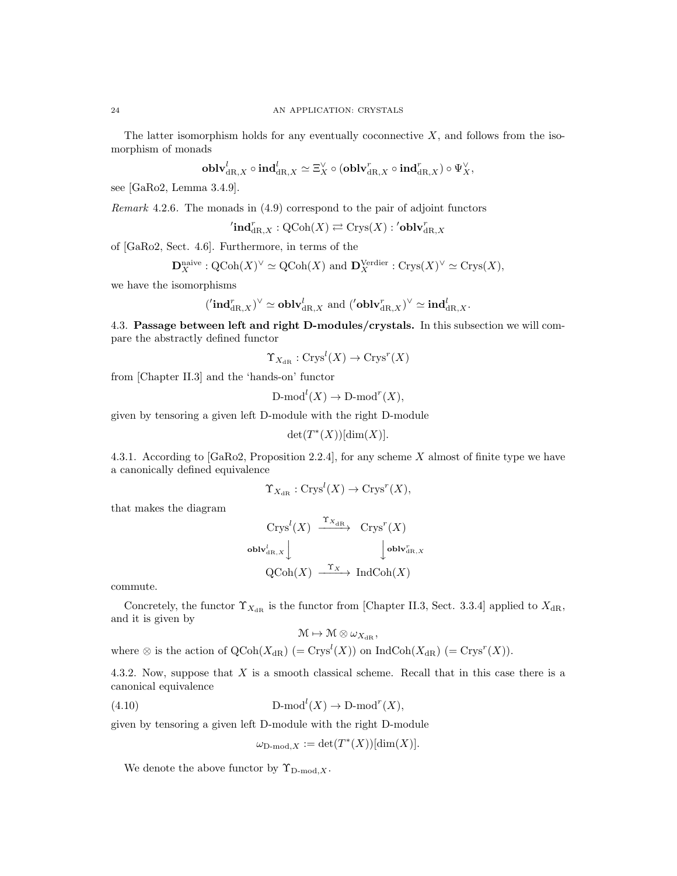The latter isomorphism holds for any eventually coconnective  $X$ , and follows from the isomorphism of monads

$$
\operatorname{oblv}_{\mathrm{dR},X}^l \circ \operatorname{ind}_{\mathrm{dR},X}^l \simeq \Xi_X^{\vee} \circ (\operatorname{oblv}_{\mathrm{dR},X}^r \circ \operatorname{ind}_{\mathrm{dR},X}^r) \circ \Psi_X^{\vee},
$$

see [GaRo2, Lemma 3.4.9].

Remark 4.2.6. The monads in (4.9) correspond to the pair of adjoint functors

 $\operatorname{Cind}_{\mathrm{dR},X}^r:\operatorname{QCoh}(X)\rightleftarrows\operatorname{Crys}(X):{}^\prime\operatorname{\bf{oblv}}_{\mathrm{dR},X}^r$ 

of [GaRo2, Sect. 4.6]. Furthermore, in terms of the

$$
\mathbf{D}_X^{\text{naive}} : \mathrm{QCoh}(X)^\vee \simeq \mathrm{QCoh}(X) \text{ and } \mathbf{D}_X^{\text{Verdier}} : \mathrm{Crys}(X)^\vee \simeq \mathrm{Crys}(X),
$$

we have the isomorphisms

$$
(\prime \mathbf{ind}_{\mathrm{dR},X}^r)^{\vee} \simeq \mathbf{oblv}_{\mathrm{dR},X}^l \text{ and } (\prime \mathbf{oblv}_{\mathrm{dR},X}^r)^{\vee} \simeq \mathbf{ind}_{\mathrm{dR},X}^l.
$$

4.3. Passage between left and right D-modules/crystals. In this subsection we will compare the abstractly defined functor

$$
\Upsilon_{X_{\mathrm{dR}}}:\mathrm{Crys}^l(X)\to\mathrm{Crys}^r(X)
$$

from [Chapter II.3] and the 'hands-on' functor

$$
\mathrm{D-mod}^l(X) \to \mathrm{D-mod}^r(X),
$$

given by tensoring a given left D-module with the right D-module

$$
\det(T^*(X))[\dim(X)].
$$

4.3.1. According to [GaRo2, Proposition 2.2.4], for any scheme X almost of finite type we have a canonically defined equivalence

$$
\Upsilon_{X_{\mathrm{dR}}}:\mathrm{Crys}^l(X)\to \mathrm{Crys}^r(X),
$$

that makes the diagram

$$
\begin{array}{ccc}\n\operatorname{Crys}^l(X) & \xrightarrow{\Upsilon_{X_{\text{dR}}}} & \operatorname{Crys}^r(X) \\
\text{oblv}_{\text{dR},X}^l & & \downarrow \text{oblv}_{\text{dR},X}^r \\
\operatorname{QCoh}(X) & \xrightarrow{\Upsilon_X} & \operatorname{IndCoh}(X)\n\end{array}
$$

commute.

Concretely, the functor  $\Upsilon_{X_{\text{dR}}}$  is the functor from [Chapter II.3, Sect. 3.3.4] applied to  $X_{\text{dR}}$ , and it is given by

$$
\mathcal{M} \mapsto \mathcal{M} \otimes \omega_{X_{\mathrm{dR}}},
$$

where  $\otimes$  is the action of  $QCoh(X_{dR})$  (=  $Crys<sup>l</sup>(X)$ ) on IndCoh $(X_{dR})$  (=  $Crys<sup>r</sup>(X)$ ).

4.3.2. Now, suppose that X is a smooth classical scheme. Recall that in this case there is a canonical equivalence

(4.10) 
$$
\text{D-mod}^l(X) \to \text{D-mod}^r(X),
$$

given by tensoring a given left D-module with the right D-module

$$
\omega_{\mathcal{D}\text{-mod},X} := \det(T^*(X))[\dim(X)].
$$

We denote the above functor by  $\Upsilon_{\text{D-mod }X}$ .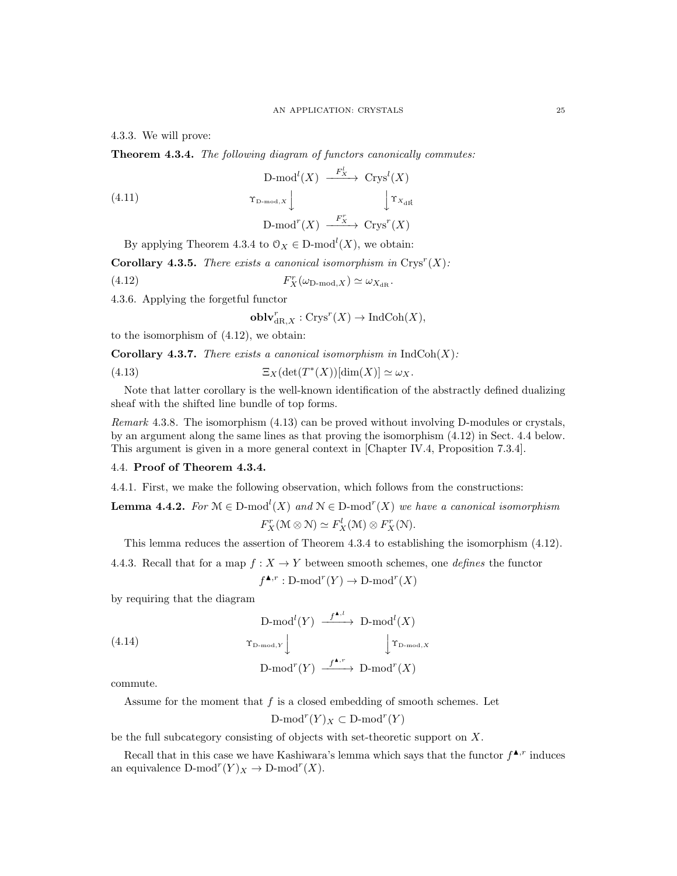4.3.3. We will prove:

Theorem 4.3.4. The following diagram of functors canonically commutes:

(4.11) 
$$
\begin{array}{ccc}\n\text{D-mod}^{l}(X) & \xrightarrow{F_{X}^{l}} & \text{Crys}^{l}(X) \\
\downarrow^{\Upsilon_{\text{D-mod},X}} & & \downarrow^{\Upsilon_{X_{\text{dR}}}} \\
\text{D-mod}^{r}(X) & \xrightarrow{F_{X}^{r}} & \text{Crys}^{r}(X)\n\end{array}
$$

By applying Theorem 4.3.4 to  $\mathcal{O}_X \in \mathbb{D}\text{-mod}^l(X)$ , we obtain:

**Corollary 4.3.5.** There exists a canonical isomorphism in  $Crys^{r}(X)$ :

(4.12) 
$$
F_X^r(\omega_{\text{D-mod},X}) \simeq \omega_{X_{\text{dR}}}.
$$

4.3.6. Applying the forgetful functor

 $\mathbf{oblv}_{\mathrm{dR},X}^r : \mathrm{Crys}^r(X) \to \mathrm{IndCoh}(X),$ 

to the isomorphism of (4.12), we obtain:

**Corollary 4.3.7.** There exists a canonical isomorphism in  $IndCoh(X)$ :

(4.13) 
$$
\Xi_X(\det(T^*(X))[\dim(X)] \simeq \omega_X.
$$

Note that latter corollary is the well-known identification of the abstractly defined dualizing sheaf with the shifted line bundle of top forms.

Remark 4.3.8. The isomorphism (4.13) can be proved without involving D-modules or crystals, by an argument along the same lines as that proving the isomorphism (4.12) in Sect. 4.4 below. This argument is given in a more general context in [Chapter IV.4, Proposition 7.3.4].

## 4.4. Proof of Theorem 4.3.4.

4.4.1. First, we make the following observation, which follows from the constructions:

**Lemma 4.4.2.** For  $\mathcal{M} \in \mathcal{D}$ -mod<sup>t</sup> $(X)$  and  $\mathcal{N} \in \mathcal{D}$ -mod<sup>r</sup> $(X)$  we have a canonical isomorphism  $F_X^r(\mathcal{M} \otimes \mathcal{N}) \simeq F_X^l(\mathcal{M}) \otimes F_X^r(\mathcal{N}).$ 

This lemma reduces the assertion of Theorem 4.3.4 to establishing the isomorphism (4.12).

4.4.3. Recall that for a map  $f: X \to Y$  between smooth schemes, one *defines* the functor

$$
f^{\blacktriangle,r} : \mathbf{D}\text{-mod}^r(Y) \to \mathbf{D}\text{-mod}^r(X)
$$

by requiring that the diagram

(4.14)  
\n
$$
\begin{array}{ccc}\n\text{D-mod}^{l}(Y) & \xrightarrow{f^{\mathbf{A},l}} & \text{D-mod}^{l}(X) \\
\downarrow^{\Upsilon_{\text{D-mod},Y}} & & \downarrow^{\Upsilon_{\text{D-mod},X}} \\
\text{D-mod}^{r}(Y) & \xrightarrow{f^{\mathbf{A},r}} & \text{D-mod}^{r}(X)\n\end{array}
$$

commute.

Assume for the moment that  $f$  is a closed embedding of smooth schemes. Let

 $\mathrm{D-mod}^r(Y)_X \subset \mathrm{D-mod}^r(Y)$ 

be the full subcategory consisting of objects with set-theoretic support on X.

Recall that in this case we have Kashiwara's lemma which says that the functor  $f^{\blacktriangle,r}$  induces an equivalence  $D\text{-mod}^r(Y)_X \to D\text{-mod}^r(X)$ .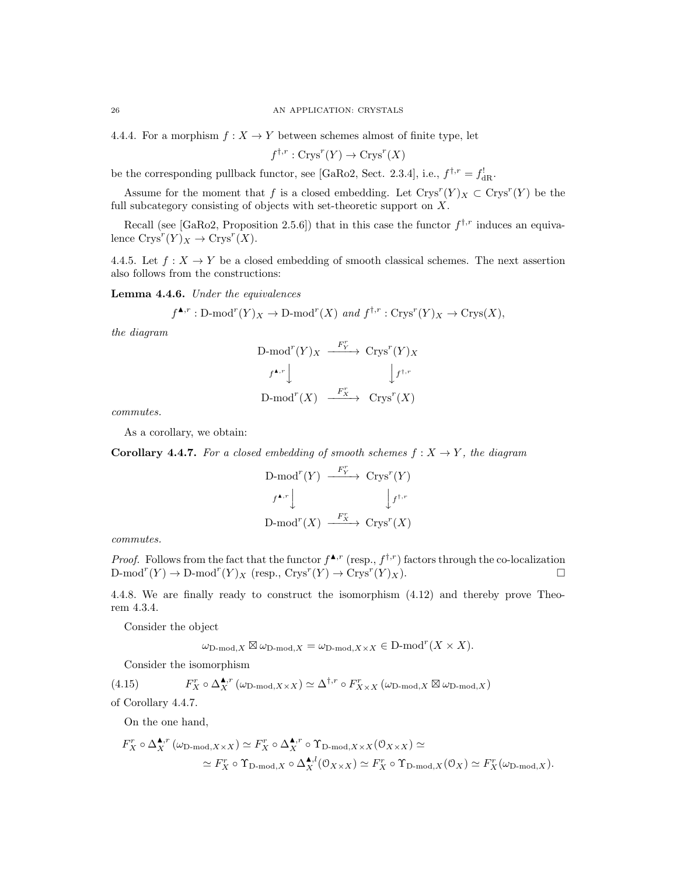4.4.4. For a morphism  $f: X \to Y$  between schemes almost of finite type, let

 $f^{\dagger,r}: \text{Crys}^r(Y) \to \text{Crys}^r(X)$ 

be the corresponding pullback functor, see [GaRo2, Sect. 2.3.4], i.e.,  $f^{\dagger,r} = f_{\text{dR}}^{\dagger}$ .

Assume for the moment that f is a closed embedding. Let  $Crys^{r}(Y)_X \subset Crys^{r}(Y)$  be the full subcategory consisting of objects with set-theoretic support on  $X$ .

Recall (see [GaRo2, Proposition 2.5.6]) that in this case the functor  $f^{\dagger,r}$  induces an equivalence  $\text{Crys}^r(Y)_X \to \text{Crys}^r(X)$ .

4.4.5. Let  $f: X \to Y$  be a closed embedding of smooth classical schemes. The next assertion also follows from the constructions:

Lemma 4.4.6. Under the equivalences

$$
f^{\blacktriangle,r}: \mathrm{D-mod}^r(Y)_X \to \mathrm{D-mod}^r(X)
$$
 and  $f^{\dagger,r}: \mathrm{Crys}^r(Y)_X \to \mathrm{Crys}(X)$ ,

the diagram

$$
\begin{array}{ccc}\n\text{D-mod}^r(Y)_X & \xrightarrow{F_Y^r} & \text{Crys}^r(Y)_X \\
\downarrow f^{\blacktriangle,r} & & \downarrow f^{\dagger,r} \\
\text{D-mod}^r(X) & \xrightarrow{F_X^r} & \text{Crys}^r(X)\n\end{array}
$$

commutes.

As a corollary, we obtain:

**Corollary 4.4.7.** For a closed embedding of smooth schemes  $f : X \to Y$ , the diagram

$$
\begin{array}{ccc}\n\text{D-mod}^r(Y) & \xrightarrow{F_Y^r} & \text{Crys}^r(Y) \\
\downarrow f^{\bullet,r} & & \downarrow f^{\dagger,r} \\
\text{D-mod}^r(X) & \xrightarrow{F_X^r} & \text{Crys}^r(X)\n\end{array}
$$

commutes.

*Proof.* Follows from the fact that the functor  $f^{\blacktriangle,r}$  (resp.,  $f^{\dagger,r}$ ) factors through the co-localization  $\text{D-mod}^r(Y) \to \text{D-mod}^r(Y)_X \text{ (resp., } \text{Crys}^r(Y) \to \text{Crys}^r(Y)_X).$ 

4.4.8. We are finally ready to construct the isomorphism (4.12) and thereby prove Theorem 4.3.4.

Consider the object

$$
\omega_{\mathcal{D}\text{-mod},X} \boxtimes \omega_{\mathcal{D}\text{-mod},X} = \omega_{\mathcal{D}\text{-mod},X \times X} \in \mathcal{D}\text{-mod}^r(X \times X).
$$

Consider the isomorphism

(4.15) 
$$
F_X^r \circ \Delta_X^{\blacktriangle,r}(\omega_{\text{D-mod},X\times X}) \simeq \Delta^{\dagger,r} \circ F_{X\times X}^r(\omega_{\text{D-mod},X} \boxtimes \omega_{\text{D-mod},X})
$$

of Corollary 4.4.7.

On the one hand,

$$
F_X^r \circ \Delta_X^{\blacktriangle,r}(\omega_{\text{D-mod},X \times X}) \simeq F_X^r \circ \Delta_X^{\blacktriangle,r} \circ \Upsilon_{\text{D-mod},X \times X}(\mathbf{0}_{X \times X}) \simeq \\ \simeq F_X^r \circ \Upsilon_{\text{D-mod},X} \circ \Delta_X^{\blacktriangle,l}(\mathbf{0}_{X \times X}) \simeq F_X^r \circ \Upsilon_{\text{D-mod},X}(\mathbf{0}_X) \simeq F_X^r(\omega_{\text{D-mod},X}).
$$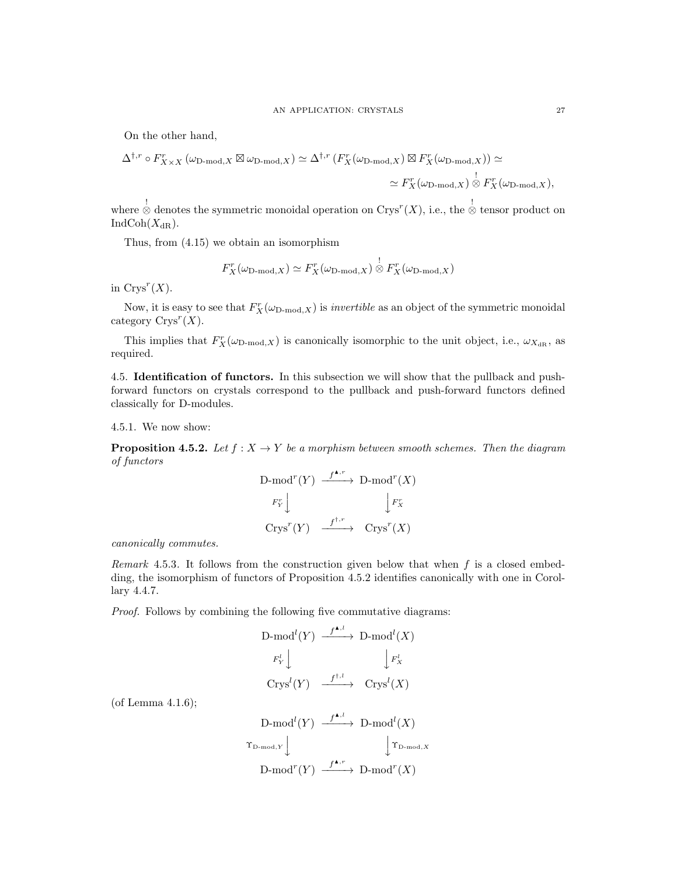On the other hand,

$$
\Delta^{\dagger,r} \circ F_{X \times X}^r (\omega_{\text{D-mod}, X} \boxtimes \omega_{\text{D-mod}, X}) \simeq \Delta^{\dagger,r} \left( F_X^r (\omega_{\text{D-mod}, X}) \boxtimes F_X^r (\omega_{\text{D-mod}, X}) \right) \simeq
$$
  

$$
\simeq F_X^r (\omega_{\text{D-mod}, X}) \overset{!}{\otimes} F_X^r (\omega_{\text{D-mod}, X}),
$$

where  $\stackrel{!}{\otimes}$  denotes the symmetric monoidal operation on Crys<sup>r</sup>(X), i.e., the  $\stackrel{!}{\otimes}$  tensor product on  $IndCoh(X_{dR}).$ 

Thus, from (4.15) we obtain an isomorphism

$$
F_X^r(\omega_{\text{D-mod},X}) \simeq F_X^r(\omega_{\text{D-mod},X}) \overset{!}{\otimes} F_X^r(\omega_{\text{D-mod},X})
$$

in  $Crys^r(X)$ .

Now, it is easy to see that  $F_X^r(\omega_{\text{D-mod},X})$  is *invertible* as an object of the symmetric monoidal category  $\text{Crys}^r(X)$ .

This implies that  $F_X^r(\omega_{\text{D-mod},X})$  is canonically isomorphic to the unit object, i.e.,  $\omega_{X_{\text{dR}}},$  as required.

4.5. Identification of functors. In this subsection we will show that the pullback and pushforward functors on crystals correspond to the pullback and push-forward functors defined classically for D-modules.

4.5.1. We now show:

**Proposition 4.5.2.** Let  $f : X \to Y$  be a morphism between smooth schemes. Then the diagram of functors

$$
\begin{array}{ccc}\n\text{D-mod}^r(Y) & \xrightarrow{f^{\blacktriangle,r}} & \text{D-mod}^r(X) \\
\downarrow F_X^r & & \downarrow F_X^r \\
\text{Crys}^r(Y) & \xrightarrow{f^{\dagger,r}} & \text{Crys}^r(X)\n\end{array}
$$

canonically commutes.

Remark 4.5.3. It follows from the construction given below that when  $f$  is a closed embedding, the isomorphism of functors of Proposition 4.5.2 identifies canonically with one in Corollary 4.4.7.

Proof. Follows by combining the following five commutative diagrams:

$$
\begin{array}{ccc}\n\text{D-mod}^{l}(Y) & \xrightarrow{f^{\blacktriangle, l}} & \text{D-mod}^{l}(X) \\
\downarrow F_{Y}^{l} & & \downarrow F_{X}^{l} \\
\text{Crys}^{l}(Y) & \xrightarrow{f^{\dagger, l}} & \text{Crys}^{l}(X)\n\end{array}
$$

(of Lemma 4.1.6);

$$
\begin{array}{ccc}\n\text{D-mod}^{l}(Y) & \xrightarrow{f^{\blacktriangle, l}} & \text{D-mod}^{l}(X) \\
\downarrow^{\Upsilon_{\text{D-mod}, Y}} & & \downarrow^{\Upsilon_{\text{D-mod}, X}} \\
\text{D-mod}^{r}(Y) & \xrightarrow{f^{\blacktriangle, r}} & \text{D-mod}^{r}(X)\n\end{array}
$$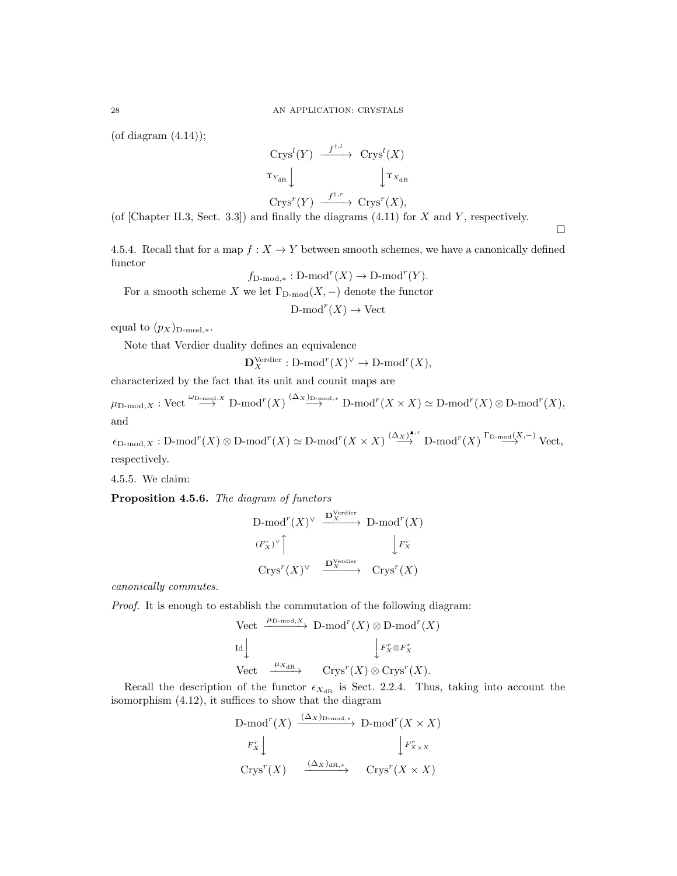(of diagram  $(4.14)$ );

$$
\begin{array}{ccc}\n\operatorname{Crys}^l(Y) & \xrightarrow{f^{\dagger,l}} & \operatorname{Crys}^l(X) \\
\uparrow_{Y_{\text{dR}}}\downarrow & & \downarrow \uparrow_{X_{\text{dR}}} \\
\operatorname{Crys}^r(Y) & \xrightarrow{f^{\dagger,r}} & \operatorname{Crys}^r(X),\n\end{array}
$$

(of [Chapter II.3, Sect. 3.3]) and finally the diagrams  $(4.11)$  for X and Y, respectively.

 $\Box$ 

4.5.4. Recall that for a map  $f: X \to Y$  between smooth schemes, we have a canonically defined functor

$$
f_{\text{D-mod},*}: \text{D-mod}^r(X) \to \text{D-mod}^r(Y).
$$

For a smooth scheme X we let  $\Gamma_{D\text{-mod}}(X, -)$  denote the functor

 $\mathrm{D\text{-}mod}^r(X) \to \mathrm{Vect}$ 

equal to  $(p_X)_{\text{D-mod},*}.$ 

Note that Verdier duality defines an equivalence

$$
\mathbf{D}_X^{\text{Verdier}} : \text{D-mod}^r(X)^\vee \to \text{D-mod}^r(X),
$$

characterized by the fact that its unit and counit maps are

 $\mu_{\text{D-mod}, X}: \text{Vect}\stackrel{\omega_{\text{D-mod}}, X}{\longrightarrow}\text{D-mod}^r(X)\stackrel{(\Delta_X)_{\text{D-mod}}, *}{\longrightarrow}\text{D-mod}^r(X\times X)\simeq \text{D-mod}^r(X)\otimes \text{D-mod}^r(X),$ and

 $\epsilon_{\text{D-mod},X}: \text{D-mod}^r(X)\otimes \text{D-mod}^r(X)\simeq \text{D-mod}^r(X\times X)\stackrel{(\Delta_X)^{\blacktriangle, r}}{\longrightarrow} \text{D-mod}^r(X)\stackrel{\Gamma_{\text{D-mod}}(X,-)}{\longrightarrow} \text{Vect},$ respectively.

4.5.5. We claim:

Proposition 4.5.6. The diagram of functors

$$
\begin{array}{ccc}\n\text{D-mod}^r(X) & \xrightarrow{\mathbf{D}_{X}^{\text{Verdier}}} & \text{D-mod}^r(X) \\
\downarrow F_X^r & & \downarrow F_X^r \\
\text{Crys}^r(X)^\vee & \xrightarrow{\mathbf{D}_{X}^{\text{Verdier}}} & \text{Crys}^r(X)\n\end{array}
$$

canonically commutes.

Proof. It is enough to establish the commutation of the following diagram:

Vect

\n
$$
\xrightarrow{\mu_{\text{D-mod},X}} \text{D-mod}^r(X) \otimes \text{D-mod}^r(X)
$$
\nId

\n
$$
\downarrow F_X^r \otimes F_X^r
$$
\nVect

\n
$$
\xrightarrow{\mu_{X_{\text{dR}}}} \text{Crys}^r(X) \otimes \text{Crys}^r(X).
$$

Recall the description of the functor  $\epsilon_{X_{\text{dR}}}$  is Sect. 2.2.4. Thus, taking into account the isomorphism (4.12), it suffices to show that the diagram

D-mod<sup>*r*</sup>(X) 
$$
\xrightarrow{(\Delta x)_{\text{D-mod},*}}
$$
 D-mod<sup>*r*</sup>(X × X)  
\n $F_X^r \downarrow \qquad \qquad \downarrow F_{X \times X}^r$   
\n $\text{Crys}^r(X)$   $\xrightarrow{(\Delta x)_{\text{dR},*}}$   $\text{Crys}^r(X \times X)$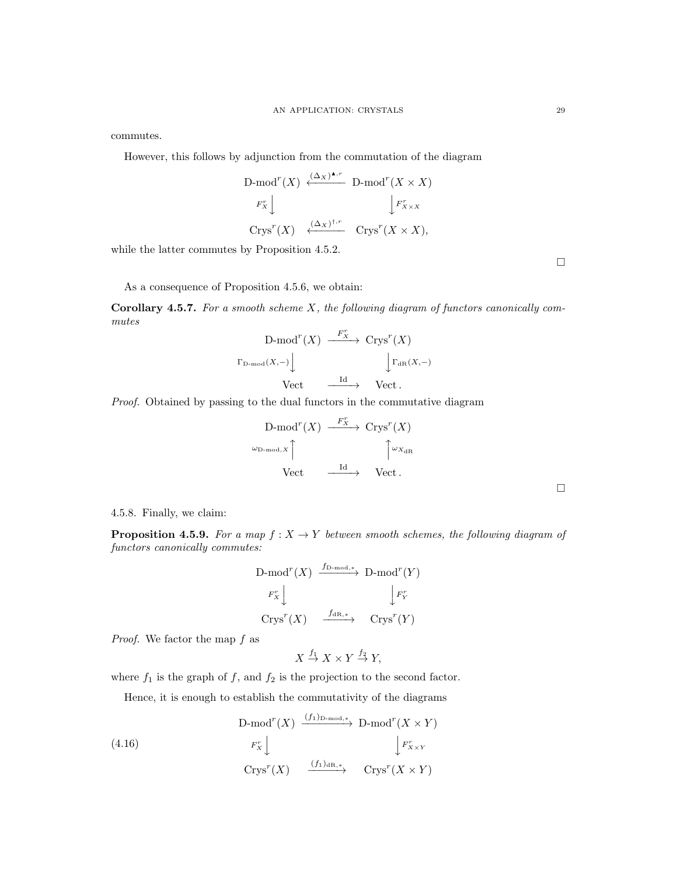commutes.

However, this follows by adjunction from the commutation of the diagram

D-mod<sup>r</sup>(X) 
$$
\stackrel{(\Delta_X)^{\blacktriangle,r}}{\longleftarrow}
$$
 D-mod<sup>r</sup>(X \times X)  
\n $F_X^r \downarrow \qquad \qquad \downarrow F_{X \times X}^r$   
\n $\text{Crys}^r(X) \stackrel{(\Delta_X)^{\dagger,r}}{\longleftarrow}$   $\text{Crys}^r(X \times X)$ ,

while the latter commutes by Proposition 4.5.2.

As a consequence of Proposition 4.5.6, we obtain:

**Corollary 4.5.7.** For a smooth scheme  $X$ , the following diagram of functors canonically commutes

$$
\begin{array}{ccc}\n\text{D-mod}^{r}(X) & \xrightarrow{F_{X}^{r}} & \text{Crys}^{r}(X) \\
\downarrow^{\Gamma_{\text{D-mod}}(X,-)} & & \downarrow^{\Gamma_{\text{dR}}(X,-)} \\
\text{Vect} & \xrightarrow{\text{Id}} & \text{Vect} \,.\n\end{array}
$$

Proof. Obtained by passing to the dual functors in the commutative diagram

$$
\begin{array}{ccc}\n\text{D-mod}^r(X) & \xrightarrow{F_X^r} & \text{Crys}^r(X) \\
\downarrow^{\text{D-mod},X} & & \uparrow^{\text{DxdR}} \\
\text{Vect} & \xrightarrow{\text{Id}} & \text{Vect}\n\end{array}
$$

 $\Box$ 

4.5.8. Finally, we claim:

**Proposition 4.5.9.** For a map  $f : X \to Y$  between smooth schemes, the following diagram of functors canonically commutes:

$$
\begin{array}{ccc}\n\text{D-mod}^r(X) & \xrightarrow{f_{\text{D-mod},*}} \text{D-mod}^r(Y) \\
\downarrow F_X^r \downarrow & & \downarrow F_Y^r \\
\text{Crys}^r(X) & \xrightarrow{f_{\text{dR},*}} \text{Crys}^r(Y)\n\end{array}
$$

Proof. We factor the map f as

 $X \stackrel{f_1}{\rightarrow} X \times Y \stackrel{f_2}{\rightarrow} Y,$ 

where  $f_1$  is the graph of f, and  $f_2$  is the projection to the second factor.

Hence, it is enough to establish the commutativity of the diagrams

(4.16) D-mod<sup>r</sup> $(X) \xrightarrow{(f_1)_{D\text{-mod},*}} D\text{-mod}^r(X \times Y)$  $F_X^r\downarrow$  $\int F_{X\times Y}^r$  $\mathrm{Crys}^r(X) \longrightarrow {\frac{(f_1)_{\mathrm{dR},*}}{\cdots}} \mathrm{Crys}^r(X \times Y)$ 

 $\Box$